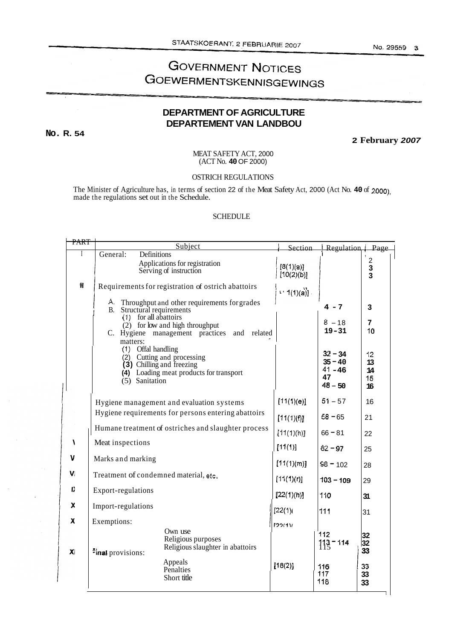#### No. 29559 3

# **GOVERNMENT NOTICES GOEWERMENTSKENNISGEWINGS**

## **DEPARTMENT OF AGRICULTURE DEPARTEMENT VAN LANDBOU**

**No. R. 54** 

**2 February** *2007* 

MEAT SAFETY ACT, 2000 (ACT No. **40** OF 2000)

OSTRICH REGULATIONS

The Minister of Agriculture has, in terms of section 22 of the Meat Safety Act, 2000 (Act No. **40** of 2000), made the regulations set out in the Schedule.

### **SCHEDULE**

| PART | Subject<br>Section                                                                                          |                                                                                                    |                         | Regulation   Page                                      |                            |
|------|-------------------------------------------------------------------------------------------------------------|----------------------------------------------------------------------------------------------------|-------------------------|--------------------------------------------------------|----------------------------|
| I    | General:<br>Definitions                                                                                     |                                                                                                    |                         |                                                        | $\overline{2}$             |
|      |                                                                                                             | Applications for registration<br>Serving of instruction                                            | [8(1)(a)]<br>[10(2)(b)] |                                                        | 3<br>$\overline{3}$        |
| Н    | Requirements for registration of ostrich abattoirs                                                          |                                                                                                    | (1)(a)                  |                                                        |                            |
|      | А.<br>Throughput and other requirements for grades<br>B. Structural requirements<br>$(1)$ for all abattoirs |                                                                                                    |                         | $4 - 7$                                                | 3                          |
|      | (2) for low and high throughput<br>C. Hygiene management practices<br>and related<br>matters:               |                                                                                                    |                         | $8 - 18$<br>$19 - 31$                                  | 7<br>10                    |
|      | (1) Offal handling<br>(5) Sanitation                                                                        | (2) Cutting and processing<br>(3) Chilling and freezing<br>(4) Loading meat products for transport |                         | $32 - 34$<br>$35 - 40$<br>$41 - 46$<br>47<br>$48 - 50$ | 12<br>13<br>14<br>15<br>16 |
|      | Hygiene management and evaluation systems                                                                   |                                                                                                    | [11(1)(e)]              | $51 - 57$                                              | 16                         |
|      | Hygiene requirements for persons entering abattoirs                                                         |                                                                                                    | [11(1)(f)]              | $58 - 65$                                              | 21                         |
|      | Humane treatment of ostriches and slaughter process                                                         |                                                                                                    | [11(1)(h)]              | $66 - 81$                                              | 22                         |
| Å    | Meat inspections                                                                                            |                                                                                                    | [11(1)]                 | $82 - 97$                                              | 25                         |
| V    | Marks and marking                                                                                           |                                                                                                    | [11(1)(m)]              | $98 - 102$                                             | 28                         |
| V    | Treatment of condemned material, etc.                                                                       |                                                                                                    | [11(1)(r)]              | $103 - 109$                                            | 29                         |
| D    | Export-regulations                                                                                          |                                                                                                    | [22(1)(h)]              | 110                                                    | 31                         |
| x    | Import-regulations                                                                                          |                                                                                                    | [22(1)]                 | 111                                                    | 31                         |
| X    | Exemptions:                                                                                                 | Own use                                                                                            | 122(1)                  |                                                        |                            |
| XI   | <b>Final</b> provisions:                                                                                    | Religious purposes<br>Religious slaughter in abattoirs                                             |                         | 112<br>$113 - 114$                                     | 32<br>32<br>33             |
|      |                                                                                                             | Appeals<br>Penalties<br>Short title                                                                | [18(2)]                 | 116<br>117<br>118                                      | 33<br>33<br>33             |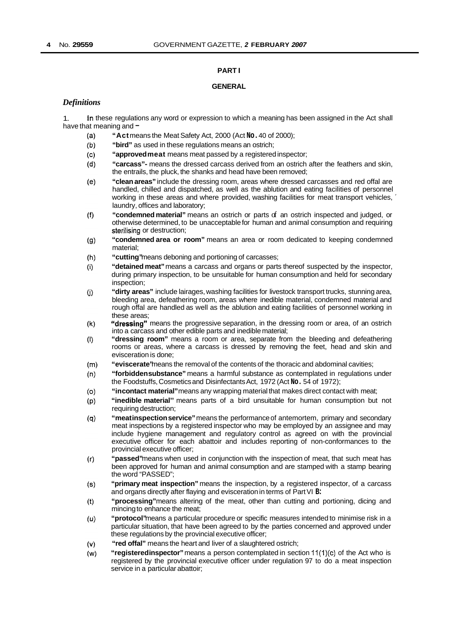#### **PART I**

#### **GENERAL**

#### *Definitions*

1. have that meaning and  $-$ In these regulations any word or expression to which a meaning has been assigned in the Act shall

- $(a)$ **"Act** means the Meat Safety Act, 2000 (Act **No.** 40 of 2000);
- **"bird"** as used in these regulations means an ostrich;  $(b)$
- $(c)$ **"approved meat** means meat passed by a registered inspector;
- **"carcass"-** means the dressed carcass derived from an ostrich after the feathers and skin,  $(d)$ the entrails, the pluck, the shanks and head have been removed;
- $(e)$ **"clean areas"** include the dressing room, areas where dressed carcasses and red offal are handled, chilled and dispatched, as well as the ablution and eating facilities of personnel working in these areas and where provided, washing facilities for meat transport vehicles, ' laundry, offices and laboratory;
- **"condemned material"** means an ostrich or parts of an ostrich inspected and judged, or  $(f)$ otherwise determined, to be unacceptable for human and animal consumption and requiring sterilising or destruction;
- **"condemned area or room"** means an area or room dedicated to keeping condemned  $(g)$ material;
- "cutting" means deboning and portioning of carcasses;  $(h)$
- **"detained meat"** means a carcass and organs or parts thereof suspected by the inspector,  $(i)$ during primary inspection, to be unsuitable for human consumption and held for secondary inspection;
- $(i)$ **"dirty areas"** include lairages, washing facilities for livestock transport trucks, stunning area, bleeding area, defeathering room, areas where inedible material, condemned material and rough offal are handled as well as the ablution and eating facilities of personnel working in these areas;
- $(k)$ **"dressing"** means the progressive separation, in the dressing room or area, of an ostrich into a carcass and other edible parts and inedible material;
- **"dressing room"** means a room or area, separate from the bleeding and defeathering  $(1)$ rooms or areas, where a carcass is dressed by removing the feet, head and skin and evisceration is done;
- **"eviscerate"** means the removal of the contents of the thoracic and abdominal cavities;  $(m)$
- **"forbidden substance"** means a harmful substance as contemplated in regulations under  $(n)$ the Foodstuffs, Cosmetics and Disinfectants Act, 1972 (Act **No.** 54 of 1972);
- $(0)$ **"in contact material"** means any wrapping material that makes direct contact with meat;
- "inedible material" means parts of a bird unsuitable for human consumption but not  $(p)$ requiring destruction;
- **"meat inspection service"** means the performance of antemortem, primary and secondary  $(q)$ meat inspections by a registered inspector who may be employed by an assignee and may include hygiene management and regulatory control as agreed on with the provincial executive officer for each abattoir and includes reporting of non-conformances to the provincial executive officer;
- **"passed"** means when used in conjunction with the inspection of meat, that such meat has  $(r)$ been approved for human and animal consumption and are stamped with a stamp bearing the word "PASSED";
- **"primary meat inspection"** means the inspection, by a registered inspector, of a carcass  $(s)$ and organs directly after flaying and evisceration in terms of Part VI **B:**
- **"processing"** means altering of the meat, other than cutting and portioning, dicing and  $(t)$ mincing to enhance the meat;
- **"protocol"** means a particular procedure or specific measures intended to minimise risk in a  $(v)$ particular situation, that have been agreed to by the parties concerned and approved under these regulations by the provincial executive officer;
- $(v)$ **"red offal"** means the heart and liver of a slaughtered ostrich;
- "registeredinspector" means a person contemplated in section 11(1)(c) of the Act who is  $(w)$ registered by the provincial executive officer under regulation 97 to do a meat inspection service in a particular abattoir;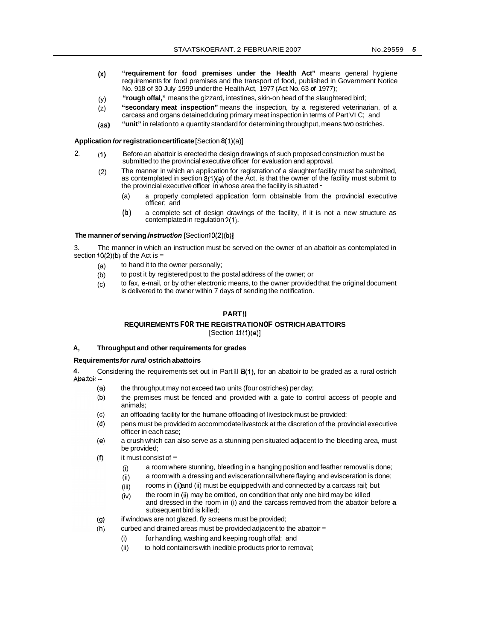- **(x) "requirement for food premises under the Health Act"** means general hygiene requirements for food premises and the transport of food, published in Government Notice No. 91 8 of 30 July 1999 under the Health Act, 1977 (Act No. 63 *of* 1977);
- **"rough offal,"** means the gizzard, intestines, skin-on head of the slaughtered bird; (y)
- **"secondary meat inspection"** means the inspection, by a registered veterinarian, of a carcass and organs detained during primary meat inspection in terms of Part VI C; and (z)
- **"unit"** in relation to a quantity standard for determining throughput, means two ostriches. (aa)

#### Application *for* registration certificate [Section 8(1)(a)]

- 2.  $(1)$ Before an abattoir is erected the design drawings of such proposed construction must be submitted to the provincial executive officer for evaluation and approval.
	- (2) The manner in which an application for registration of a slaughter facility must be submitted. as contemplated in section  $8(1)(a)$  of the Act, is that the owner of the facility must submit to the provincial executive officer in whose area the facility is situated -
		- (a) a properly completed application form obtainable from the provincial executive officer; and
		- **(b)** a complete set of design drawings of the facility, if it is not a new structure as contemplated in regulation **2(1).**

#### **The manner of serving** *instruction* [Section10(2)(b)]

3. section  $10(2)(b)$  of the Act is  $-$ The manner in which an instruction must be served on the owner of an abattoir as contemplated in

- (a) to hand it to the owner personally;
- (b) to post it by registered post to the postal address of the owner; or
- (c) to fax, e-mail, or by other electronic means, to the owner provided that the original document is delivered to the owner within 7 days of sending the notification.

#### **PART II**

#### **REQUIREMENTS FOR THE REGISTRATION OF OSTRICH ABATTOIRS**   $[Section 11(1)(a)]$

#### **A, Throughput and other requirements for grades**

#### **Requirements** *for rural* **ostrich abattoirs**

**4.** Considering the requirements set out in Part II B(1), for an abattoir to be graded as a rural ostrich Abattoir –

- $(a)$ the throughput may not exceed two units (four ostriches) per day;
- $(b)$ the premises must be fenced and provided with a gate to control access of people and animals;
- $(c)$ an offloading facility for the humane offloading of livestock must be provided;
- $(d)$ pens must be provided *to* accommodate livestock at the discretion of the provincial executive officer in each case;
- $(e)$ a crush which can also serve as a stunning pen situated adjacent to the bleeding area, must be provided;
- $(f)$ it must consist of  $-$ 
	- (i) a room where stunning, bleeding in a hanging position and feather removal is done;
	- (ii) a room with a dressing and evisceration rail where flaying and evisceration is done;
	- (iii) rooms in (i) and (ii) must be equipped with and connected by a carcass rail; but
	- (iv) the room in (ii) may be omitted, on condition that only one bird may be killed and dressed in the room in (i) and the carcass removed from the abattoir before **a**  subsequent bird is killed;
- $(g)$ if windows are not glazed, fly screens must be provided;
- curbed and drained areas must be provided adjacent to the abattoir  $=$  $(h)$ 
	- (i) for handling, washing and keeping rough offal; and
	- (ii) to hold containers with inedible products prior to removal;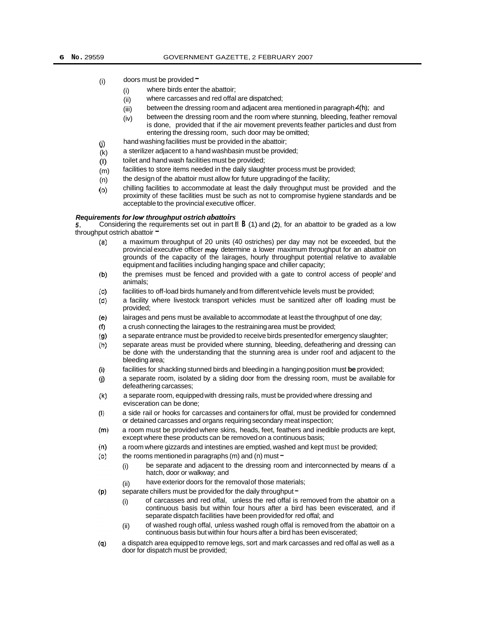#### (i) doors must be provided  $\blacksquare$

- (i) where birds enter the abattoir;
- (ii) where carcasses and red offal are dispatched;
- (iii) between the dressing room and adjacent area mentioned in paragraph 4(h); and
- (iv) between the dressing room and the room where stunning, bleeding, feather removal is done, provided that if the air movement prevents feather particles and dust from entering the dressing room, such door may be omitted;
- (j) hand washing facilities must be provided in the abattoir;
- (k) a sterilizer adjacent to a hand washbasin must be provided;
- (I) toilet and hand wash facilities must be provided;
- (m) facilities to store items needed in the daily slaughter process must be provided;
- (n) the design of the abattoir must allow for future upgrading of the facility;
- *(0)*  chilling facilities to accommodate at least the daily throughput must be provided and the proximity of these facilities must be such as not to compromise hygiene standards and be acceptable to the provincial executive officer.

#### *Requirements for low throughput ostrich abattoirs*

*5.*  throughput ostrich abattoir  $\overline{\phantom{a}}$ Considering the requirements set out in part II **B** (1) and (2), for an abattoir to be graded as a low

- a maximum throughput of 20 units (40 ostriches) per day may not be exceeded, but the  $(a)$ provincial executive officer may determine a lower maximum throughput for an abattoir on grounds of the capacity of the lairages, hourly throughput potential relative to available equipment and facilities including hanging space and chiller capacity;
- $(b)$ the premises must be fenced and provided with a gate to control access of people' and animals;
- facilities to off-load birds humanely and from different vehicle levels must be provided;  $(c)$
- $(d)$ a facility where livestock transport vehicles must be sanitized after off loading must be provided;
- $(e)$ lairages and pens must be available to accommodate at least the throughput of one day;
- $(f)$ a crush connecting the lairages to the restraining area must be provided;
- a separate entrance must be provided to receive birds presented for emergency slaughter;  $(g)$
- separate areas must be provided where stunning, bleeding, defeathering and dressing can  $(h)$ be done with the understanding that the stunning area is under roof and adjacent to the bleeding area;
- $(i)$ facilities for shackling stunned birds and bleeding in a hanging position must **be** provided;
- a separate room, isolated by a sliding door from the dressing room, must be available for  $(i)$ defeathering carcasses;
- a separate room, equipped with dressing rails, must be provided where dressing and  $(k)$ evisceration can be done;
- a side rail or hooks for carcasses and containers for offal, must be provided for condemned  $\langle \rangle$ or detained carcasses and organs requiring secondary meat inspection;
- a room must be provided where skins, heads, feet, feathers and inedible products are kept,  $(m)$ except where these products can be removed on a continuous basis;
- $(n)$ a room where gizzards and intestines are emptied, washed and kept must be provided;
- $(0)$ the rooms mentioned in paragraphs (m) and (n) must  $=$ 
	- (i) be separate and adjacent to the dressing room and interconnected by means of a hatch, door or walkway; and
	- (ii) have exterior doors for the removal of those materials;
- separate chillers must be provided for the daily throughput  $=$  $(p)$ 
	- (i) of carcasses and red offal, unless the red offal is removed from the abattoir on a continuous basis but within four hours after a bird has been eviscerated, and if separate dispatch facilities have been provided for red offal; and
	- of washed rough offal, unless washed rough offal is removed from the abattoir on a (ii) of washed rough offal, unless washed rough offal is removed from the a<br>continuous basis but within four hours after a bird has been eviscerated;
- $(q)$ a dispatch area equipped to remove legs, sort and mark carcasses and red offal as well as a door for dispatch must be provided;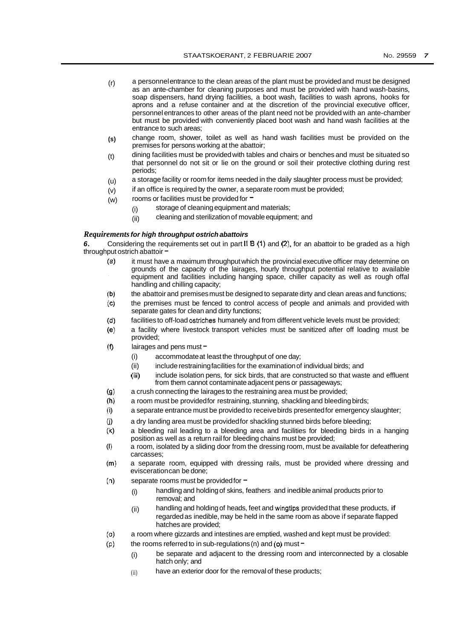- $(r)$  a personnel entrance to the clean areas of the plant must be provided and must be designed as an ante-chamber for cleaning purposes and must be provided with hand wash-basins, soap dispensers, hand drying facilities, a boot wash, facilities to wash aprons, hooks for aprons and a refuse container and at the discretion of the provincial executive officer, personnel entrances to other areas of the plant need not be provided with an ante-chamber but must be provided with conveniently placed boot wash and hand wash facilities at the entrance to such areas;
- change room, shower, toilet as well as hand wash facilities must be provided on the premises for persons working at the abattoir; **(s)**
- dining facilities must be provided with tables and chairs or benches and must be situated so that personnel do not sit or lie on the ground or soil their protective clothing during rest periods; (t)
- a storage facility or room for items needed in the daily slaughter process must be provided; (u)
- if an office is required by the owner, a separate room must be provided; (v)
- rooms or facilities must be provided for  $=$ (w)
	- (i) storage of cleaning equipment and materials;
	- (ii) cleaning and sterilization of movable equipment; and

#### *Requirements for high throughput ostrich abattoirs*

*6.*  throughput ostrich abattoir  $=$ Considering the requirements set out in part II **B** (1) and (2), for an abattoir to be graded as a high

- $(a)$ it must have a maximum throughput which the provincial executive officer may determine on grounds of the capacity of the lairages, hourly throughput potential relative to available equipment and facilities including hanging space, chiller capacity as well as rough offal handling and chilling capacity;
- $(b)$ the abattoir and premises must be designed to separate dirty and clean areas and functions;
- the premises must be fenced to control access of people and animals and provided with  $(c)$ separate gates for clean and dirty functions;
- $(d)$ facilities to off-load ostriches humanely and from different vehicle levels must be provided;
- a facility where livestock transport vehicles must be sanitized after off loading must be  $(e)$ provided;
- $(f)$ lairages and pens must  $-$ 
	- (i) accommodate at least the throughput of one day;
	- (ii) include restraining facilities for the examination of individual birds; and
	- (iii) include isolation pens, for sick birds, that are constructed so that waste and effluent from them cannot contaminate adjacent pens or passageways;
- $(g)$ a crush connecting the lairages to the restraining area must be provided;
- $(h)$ a room must be provided for restraining, stunning, shackling and bleeding birds;
- a separate entrance must be provided to receive birds presented for emergency slaughter;  $(i)$
- $(i)$ a dry landing area must be provided for shackling stunned birds before bleeding;
- $(k)$ a bleeding rail leading to a bleeding area and facilities for bleeding birds in a hanging position as well as a return rail for bleeding chains must be provided;
- $(1)$ a room, isolated by a sliding door from the dressing room, must be available for defeathering carcasses;
- $(m)$ a separate room, equipped with dressing rails, must be provided where dressing and evisceration can be done;
- $(n)$ separate rooms must be provided for  $-$ 
	- (i) handling and holding of skins, feathers and inedible animal products prior to removal; and
	- (ii) handling and holding of heads, feet and wingtips provided that these products, if regarded as inedible, may be held in the same room as above if separate flapped hatches are provided;
- $(o)$ a room where gizzards and intestines are emptied, washed and kept must be provided:
- $(p)$ the rooms referred to in sub-regulations (n) and *(0)* must -
	- (i) be separate and adjacent to the dressing room and interconnected by a closable hatch only; and
	- (ii) have an exterior door for the removal of these products;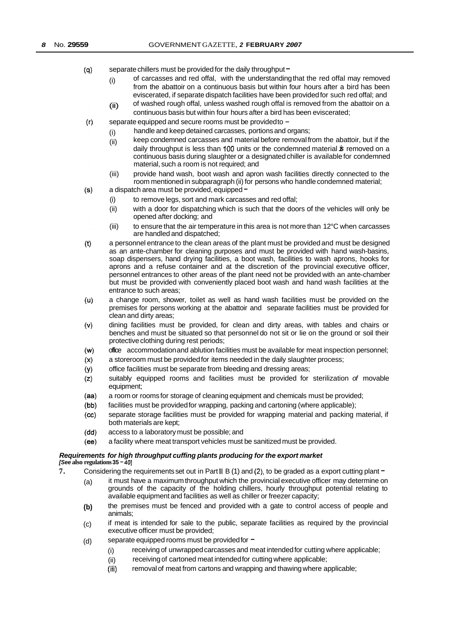- $(q)$ separate chillers must be provided for the daily throughput  $=$ 
	- $(i)$  of carcasses and red offal, with the understanding that the red offal may removed from the abattoir on a continuous basis but within four hours after a bird has been eviscerated, if separate dispatch facilities have been provided for such red offal; and of washed rough offal, unless washed rough offal is removed from the abattoir on a
	- continuous basis but within four hours after a bird has been eviscerated; (ii)
- $(r)$ separate equipped and secure rooms must be provided to
	- handle and keep detained carcasses, portions and organs; (i)
	- keep condemned carcasses and material before removal from the abattoir, but if the daily throughput is less than 100 units or the condemned material *is* removed on a continuous basis during slaughter or a designated chiller is available for condemned material, such a room is not required; and (ii)
	- (iii) provide hand wash, boot wash and apron wash facilities directly connected to the room mentioned in subparagraph (ii) for persons who handle condemned material;
- $(s)$ a dispatch area must be provided, equipped  $-$ 
	- (i) to remove legs, sort and mark carcasses and red offal;
	- (ii) with a door for dispatching which is such that the doors of the vehicles will only be opened after docking; and
	- (iii) to ensure that the air temperature in this area is not more than 12°C when carcasses are handled and dispatched;
- $(t)$ a personnel entrance to the clean areas of the plant must be provided and must be designed as an ante-chamber for cleaning purposes and must be provided with hand wash-basins, soap dispensers, hand drying facilities, a boot wash, facilities to wash aprons, hooks for aprons and a refuse container and at the discretion of the provincial executive officer, personnel entrances to other areas of the plant need not be provided with an ante-chamber but must be provided with conveniently placed boot wash and hand wash facilities at the entrance to such areas;
- a change room, shower, toilet as well as hand wash facilities must be provided on the  $(u)$ premises for persons working at the abattoir and separate facilities must be provided for clean and dirty areas;
- dining facilities must be provided, for clean and dirty areas, with tables and chairs or  $(v)$ benches and must be situated so that personnel do not sit or lie on the ground or soil their protective clothing during rest periods;
- $(w)$ office accommodation and ablution facilities must be available for meat inspection personnel;
- a storeroom must be provided for items needed in the daily slaughter process;  $(x)$
- office facilities must be separate from bleeding and dressing areas;  $(y)$
- $(z)$ suitably equipped rooms and facilities must be provided for sterilization *of* movable equipment;
- $(aa)$ a room or rooms for storage of cleaning equipment and chemicals must be provided;
- $(bb)$ facilities must be provided for wrapping, packing and cartoning (where applicable);
- separate storage facilities must be provided for wrapping material and packing material, if  $(cc)$ both materials are kept;
- $(dd)$ access to a laboratory must be possible; and
- a facility where meat transport vehicles must be sanitized must be provided.  $(ee)$

#### *Requirements for high throughput cuffing plants producing for the export market*

#### *[See* **also regulations 35** - **<sup>401</sup>**

- **7.** Considering the requirements set out in Part II B (1) and (2), to be graded as a export cutting plant
	- $(a)$  it must have a maximum throughput which the provincial executive officer may determine on grounds of the capacity of the holding chillers, hourly throughput potential relating to available equipment and facilities as well as chiller or freezer capacity;
	- the premises must be fenced and provided with a gate to control access of people and animals; **(b)**
	- if meat is intended for sale to the public, separate facilities as required by the provincial executive officer must be provided; (c)
	- separate equipped rooms must be provided for  $=$ (d)
		- (i) receiving of unwrapped carcasses and meat intended for cutting where applicable;
		- (ii) receiving of cartoned meat intended for cutting where applicable;
		- (iii) removal of meat from cartons and wrapping and thawing where applicable;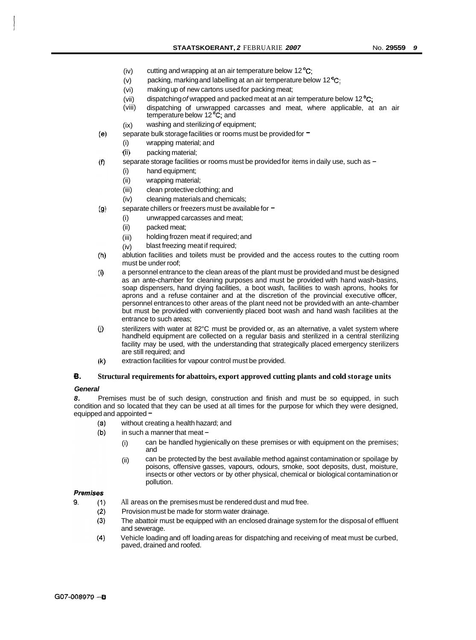- (iv) cutting and wrapping at an air temperature below 12<sup>°</sup>C;
- (v) packing, marking and labelling at an air temperature below 12<sup>°</sup>C;
- (vi) making up of new cartons used for packing meat;
- (vii) dispatching *of* wrapped and packed meat at an air temperature below 12 **OC;**
- (viii) dispatching of unwrapped carcasses and meat, where applicable, at an air temperature below 12 **OC;** and
- (ix) washing and sterilizing *of* equipment;
- separate bulk storage facilities or rooms must be provided for  $=$ 
	- (i) wrapping material; and
	- (ii) packing material;

 $(e)$ 

- separate storage facilities or rooms must be provided for items in daily use, such as - $(f)$ 
	- (i) hand equipment;
	- (ii) wrapping material;
	- (iii) clean protective clothing; and
	- (iv) cleaning materials and chemicals;
- $(g)$ separate chillers or freezers must be available for  $=$ 
	- (i) unwrapped carcasses and meat;
	- (ii) packed meat;
	- (iii) holding frozen meat if required; and
	- (iv) blast freezing meat if required;
- $(h)$ ablution facilities and toilets must be provided and the access routes to the cutting room must be under roof;
- $(i)$ a personnel entrance to the clean areas of the plant must be provided and must be designed as an ante-chamber for cleaning purposes and must be provided with hand wash-basins, soap dispensers, hand drying facilities, a boot wash, facilities to wash aprons, hooks for aprons and a refuse container and at the discretion of the provincial executive officer, personnel entrances to other areas of the plant need not be provided with an ante-chamber but must be provided with conveniently placed boot wash and hand wash facilities at the entrance to such areas;
- $(i)$ sterilizers with water at 82°C must be provided or, as an alternative, a valet system where handheld equipment are collected on a regular basis and sterilized in a central sterilizing facility may be used, with the understanding that strategically placed emergency sterilizers are still required; and
- $(k)$ extraction facilities for vapour control must be provided.

#### **6. Structural requirements for abattoirs, export approved cutting plants and cold storage units**

#### *General*

*8.* Premises must be of such design, construction and finish and must be so equipped, in such condition and so located that they can be used at all times for the purpose for which they were designed, equipped and appointed -<br>(a) without cre

- without creating a health hazard; and
- $(b)$ in such a manner that meat -
	- (i) can be handled hygienically on these premises or with equipment on the premises; and
	- (ii) can be protected by the best available method against contamination or spoilage by poisons, offensive gasses, vapours, odours, smoke, soot deposits, dust, moisture, insects or other vectors or by other physical, chemical or biological contamination or pollution.

#### **Premises**

g

- $(1)$ All areas on the premises must be rendered dust and mud free.
	- $(2)$ Provision must be made for storm water drainage.
	- The abattoir must be equipped with an enclosed drainage system for the disposal of effluent  $(3)$ and sewerage.
	- Vehicle loading and off loading areas for dispatching and receiving of meat must be curbed,  $(4)$ paved, drained and roofed.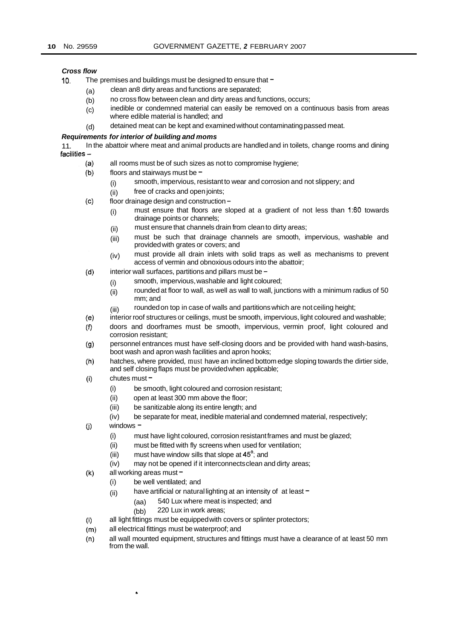#### *Cross flow*

- 10. The premises and buildings must be designed to ensure that  $-$ 
	- (a) clean an8 dirty areas and functions are separated;
	- (b) no cross flow between clean and dirty areas and functions, occurs;
	- (c) inedible or condemned material can easily be removed on a continuous basis from areas where edible material is handled; and
	- (d) detained meat can be kept and examined without contaminating passed meat.

#### *Requirements for interior of building and moms*

In the abattoir where meat and animal products are handled and in toilets, change rooms and dining 11. Ir<br><del>- facilities</del>

- all rooms must be of such sizes as not to compromise hygiene;  $(a)$
- $(b)$ floors and stairways must be  $-$ 
	- (i) smooth, impervious, resistant to wear and corrosion and not slippery; and
	- (ii) free of cracks and open joints;
- $(c)$ floor drainage design and construction -
	- (i) must ensure that floors are sloped at a gradient of not less than **1:60** towards drainage points or channels;
	- (ii) must ensure that channels drain from clean to dirty areas;
	- (iii) must be such that drainage channels are smooth, impervious, washable and provided with grates or covers; and
	- (iv) must provide all drain inlets with solid traps as well as mechanisms to prevent access of vermin and obnoxious odours into the abattoir;
- $(d)$ interior wall surfaces, partitions and pillars must be -
	- (i) smooth, impervious, washable and light coloured;
	- (ii) rounded at floor to wall, as well as wall to wall, junctions with a minimum radius of 50 mm; and
	- (iii) rounded on top in case of walls and partitions which are not ceiling height;
- interior roof structures or ceilings, must be smooth, impervious, light coloured and washable;  $(e)$
- $(f)$ doors and doorframes must be smooth, impervious, vermin proof, light coloured and corrosion resistant;
- $(g)$ personnel entrances must have self-closing doors and be provided with hand wash-basins, boot wash and apron wash facilities and apron hooks;
- $(h)$ hatches, where provided, must have an inclined bottom edge sloping towards the dirtier side, and self closing flaps must be provided when applicable;
- $(i)$ chutes must  $-$ 
	- (i) be smooth, light coloured and corrosion resistant;
	- (ii) open at least 300 mm above the floor;
	- (iii) be sanitizable along its entire length; and
	- (iv) be separate for meat, inedible material and condemned material, respectively;
- $(i)$ windows -
	- (i) must have light coloured, corrosion resistant frames and must be glazed;
	- (ii) must be fitted with fly screens when used for ventilation;
	- (iii) must have window sills that slope at **45';** and
	- (iv) may not be opened if it interconnects clean and dirty areas;
- all working areas must  $(k)$

 $\bullet$ 

- (i) be well ventilated; and
- (ii) have artificial or natural lighting at an intensity of  $at$  least  $-$ 
	- (aa) 540 Lux where meat is inspected; and
	- (bb) 220 Lux in work areas;
- all light fittings must be equipped with covers or splinter protectors;  $(1)$
- all electrical fittings must be waterproof; and  $(m)$
- all wall mounted equipment, structures and fittings must have a clearance of at least 50 mrn  $(n)$ from the wall.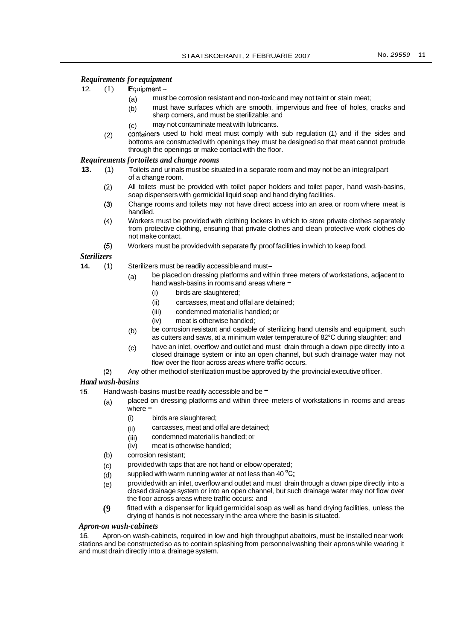#### *Requirements for equipment*

- 12.  $(I)$  Equipment  $-$ 
	- (a) must be corrosion resistant and non-toxic and may not taint or stain meat;
	- (b) must have surfaces which are smooth, impervious and free of holes, cracks and sharp corners, and must be sterilizable; and
	- (c) may not contaminate meat with lubricants.
	- containers used to hold meat must comply with sub regulation (1) and if the sides and bottoms are constructed with openings they must be designed so that meat cannot protrude through the openings or make contact with the floor. (2)

#### *Requirements for toilets and change rooms*

- **13.** (1) Toilets and urinals must be situated in a separate room and may not be an integral part of a change room.
	- (2) All toilets must be provided with toilet paper holders and toilet paper, hand wash-basins, soap dispensers with germicidal liquid soap and hand drying facilities.
	- **(3)**  Change rooms and toilets may not have direct access into an area or room where meat is handled.
	- **(4)**  Workers must be provided with clothing lockers in which to store private clothes separately from protective clothing, ensuring that private clothes and clean protective work clothes do not make contact.
	- **(5)**  Workers must be provided with separate fly proof facilities in which to keep food.

#### *Sterilizers*

- **14.** (1) Sterilizers must be readily accessible and must-
	- $(a)$  be placed on dressing platforms and within three meters of workstations, adjacent to hand wash-basins in rooms and areas where  $-$ 
		- (i) birds are slaughtered;
		- (ii) carcasses, meat and offal are detained;
		- (iii) condemned material is handled; or
		- (iv) meat is otherwise handled;
	- be corrosion resistant and capable of sterilizing hand utensils and equipment, such as cutters and saws, at a minimum water temperature of 82°C during slaughter; and (b)
	- have an inlet, overflow and outlet and must drain through a down pipe directly into a closed drainage system or into an open channel, but such drainage water may not flow over the floor across areas where traffic occurs. (c)
	- (2) Any other method of sterilization must be approved by the provincial executive officer.

#### *Hand wash-basins*

- 15. Hand wash-basins must be readily accessible and be  $=$ 
	- (a) placed on dressing platforms and within three meters of workstations in rooms and areas  $w$ here  $-$ 
		- (i) birds are slaughtered;
		- (ii) carcasses, meat and offal are detained;
		- (iii) condemned material is handled; or
		- (iv) meat is otherwise handled;
	- (b) corrosion resistant;
	- provided with taps that are not hand or elbow operated; (c)
	- supplied with warm running water at not less than 40 $\mathrm{^{\circ}C}$ ; (d)
	- provided with an inlet, overflow and outlet and must drain through a down pipe directly into a closed drainage system or into an open channel, but such drainage water may not flow over the floor across areas where traffic occurs: and (e)
	- fitted with a dispenser for liquid germicidal soap as well as hand drying facilities, unless the drying of hands is not necessary in the area where the basin is situated. **(9**

#### *Apron-on wash-cabinets*

16. Apron-on wash-cabinets, required in low and high throughput abattoirs, must be installed near work stations and be constructed so as to contain splashing from personnel washing their aprons while wearing it and must drain directly into a drainage system.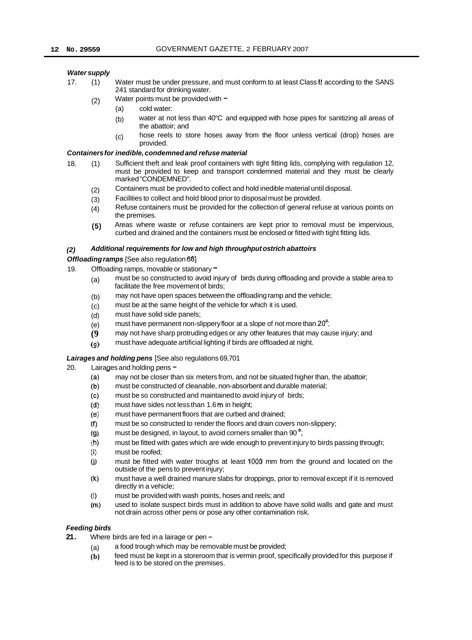#### *Water supply*

- 17. (1) Water must be under pressure, and must conform to at least Class II according to the SANS 241 standard for drinking water.
	- (2) Water points must be provided with  $-$ 
		- (a) cold water:
		- (b) water at not less than 40°C and equipped with hose pipes for sanitizing all areas of the abattoir; and
		- (c) hose reels to store hoses away from the floor unless vertical (drop) hoses are provided.

#### *Containers for inedible, condemned and refuse material*

- 18. (1) Sufficient theft and leak proof containers with tight fitting lids, complying with regulation 12, must be provided to keep and transport condemned material and they must be clearly marked "CONDEMNED".
	- Containers must be provided to collect and hold inedible material until disposal. (2)
	- Facilities to collect and hold blood prior to disposal must be provided. (3)
	- Refuse containers must be provided for the collection of general refuse at various points on the premises. (4)
	- Areas where waste or refuse containers are kept prior to removal must be impervious, curbed and drained and the containers must be enclosed or fitted with tight fitting lids. **(5)**

#### *(2) Additional requirements for low and high throughput ostrich abattoirs*

#### *Offloading ramps* [See also regulation 681

- 19. Offloading ramps, movable or stationary  $=$ 
	- (a) must be so constructed to avoid injury of birds during offloading and provide a stable area to facilitate the free movement of birds;
	- (b) may not have open spaces between the offloading ramp and the vehicle;
	- (c) must be at the same height of the vehicle for which it is used.
	- (d) must have solid side panels;
	- (e) must have permanent non-slippery floor at a slope of not more than  $20^\circ$ ;
	- **(9**  may not have sharp protruding edges or any other features that may cause injury; and
	- $(q)$ must have adequate artificial lighting if birds are offloaded at night.

#### *Lairages and holding pens* [See also regulations 69,701

- 20. Lairages and holding pens  $-$ .  $\frac{1}{2}$  may not be closer the
	- may not be closer than six meters from, and not be situated higher than, the abattoir;
	- $(b)$ must be constructed of cleanable, non-absorbent and durable material;
	- $(c)$ must be so constructed and maintained to avoid injury of birds;
	- $(d)$ must have sides not less than 1.6 m in height;
	- $(e)$ must have permanent floors that are curbed and drained;
	- must be so constructed to render the floors and drain covers non-slippery;  $(f)$
	- $(q)$ must be designed, in layout, to avoid corners smaller than 90<sup>°</sup>;
	- must be fitted with gates which are wide enough to prevent injury to birds passing through;  $(h)$
	- $(i)$ must be roofed;
	- $(i)$ must be fitted with water troughs at least 1000 mm from the ground and located on the outside of the pens to prevent injury;
	- $(k)$ must have a well drained manure slabs for droppings, prior to removal except if it is removed directly in a vehicle;
	- $(1)$ must be provided with wash points, hoses and reels; and
	- used to isolate suspect birds must in addition to above have solid walls and gate and must  $(m)$ not drain across other pens or pose any other contamination risk.

#### *Feeding birds*

- 21. Where birds are fed in a lairage or pen -
	- (a) a food trough which may be removable must be provided;
	- **(b)**  feed must be kept in a storeroom that is vermin proof, specifically provided for this purpose if feed is to be stored on the premises.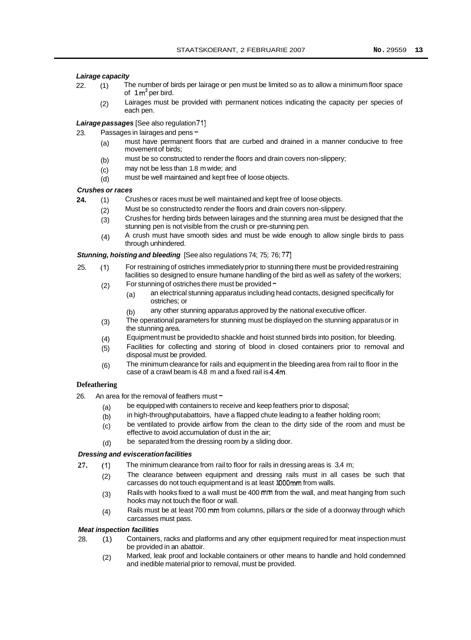#### *Lairage capacity*

- 22. (1) The number of birds per lairage or pen must be limited so as to allow a minimum floor space of  $1 m<sup>2</sup>$  per bird.
	- (2) Lairages must be provided with permanent notices indicating the capacity per species of each pen.

#### **Lairage passages** [See also regulation 71]

- 23. Passages in lairages and pens-
	- (a) must have permanent floors that are curbed and drained in a manner conducive to free movement of birds;
	- (b) must be so constructed to render the floors and drain covers non-slippery;
	- (c) may not be less than 1.8 m wide; and
	- (d) must be well maintained and kept free of loose objects.

#### *Crushes or races*

- **24.** (1) Crushes or races must be well maintained and kept free of loose objects.
	- (2) Must be so constructed to render the floors and drain covers non-slippery.
		- (3) Crushes for herding birds between lairages and the stunning area must be designed that the stunning pen is not visible from the crush or pre-stunning pen.
		- $(4)$ A crush must have smooth sides and must be wide enough to allow single birds to pass through unhindered.

#### *Stunning, hoisting and bleeding* [See also regulations 74; 75; 76; 771

- 25. (1) For restraining of ostriches immediately prior to stunning there must be provided restraining facilities so designed to ensure humane handling of the bird as well as safety of the workers;
	- (2) For stunning of ostriches there must be provided  $\blacksquare$ 
		- (a) an electrical stunning apparatus including head contacts, designed specifically for ostriches; or
		- (b) any other stunning apparatus approved by the national executive officer.
	- The operational parameters for stunning must be displayed on the stunning apparatus or in the stunning area. (3)
	- Equipment must be provided to shackle and hoist stunned birds into position, for bleeding. (4)
	- Facilities for collecting and storing of blood in closed containers prior to removal and disposal must be provided. (5)
	- The minimum clearance for rails and equipment in the bleeding area from rail to floor in the case of a crawl beam is 4.8 m and a fixed rail is 4.4m. (6)

#### **Defeathering**

- 26. An area for the removal of feathers must  $=$ 
	- (a) be equipped with containers to receive and keep feathers prior to disposal;
	- (b) in high-throughput abattoirs, have a flapped chute leading to a feather holding room;
	- (c) be ventilated to provide airflow from the clean to the dirty side of the room and must be effective to avoid accumulation of dust in the air;
	- (d) be separated from the dressing room by a sliding door.

#### *Dressing and evisceration facilities*

- **27.** (1) The minimum clearance from rail to floor for rails in dressing areas is 3.4 m;
	- (2) The clearance between equipment and dressing rails must in all cases be such that carcasses do not touch equipment and is at least 1000mm from walls.
	- (3) Rails with hooks fixed to a wall must be 400 mm from the wall, and meat hanging from such hooks may not touch the floor or wall.
	- (4) Rails must be at least 700 mm from columns, pillars or the side of a doorway through which carcasses must pass.

#### *Meat inspection facilities*

- 28. (1) Containers, racks and platforms and any other equipment required for meat inspection must be provided in an abattoir.
	- (2) Marked, leak proof and lockable containers or other means to handle and hold condemned and inedible material prior to removal, must be provided.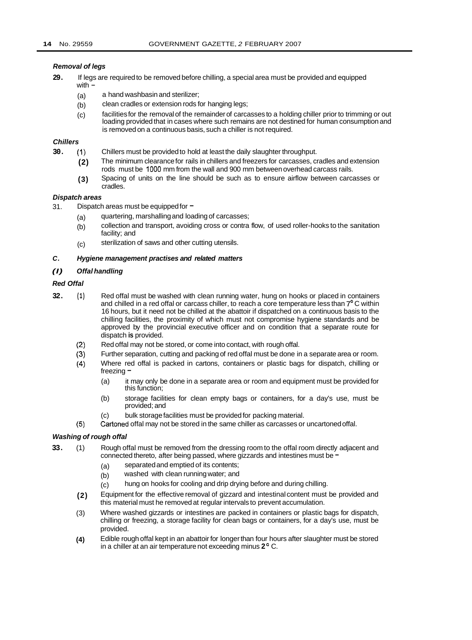#### *Removal of legs*

- **29.** If legs are required to be removed before chilling, a special area must be provided and equipped with  $-$ 
	- (a) a hand washbasin and sterilizer;
	- (b) clean cradles or extension rods for hanging legs;
	- (c) facilities for the removal of the remainder of carcasses to a holding chiller prior to trimming or out loading provided that in cases where such remains are not destined for human consumption and is removed on a continuous basis, such a chiller is not required.

#### *Chillers*

- **30.** (1) Chillers must be provided to hold at least the daily slaughter throughput.
	- **(2)**  The minimum clearance for rails in chillers and freezers for carcasses, cradles and extension rods must be 1000 mm from the wall and 900 mm between overhead carcass rails.
	- **(3)**  Spacing of units on the line should be such as to ensure airflow between carcasses or cradles.

#### *Dispatch areas*

- 31. Dispatch areas must be equipped for  $=$ 
	- (a) quartering, marshalling and loading of carcasses;
	- (b) collection and transport, avoiding cross or contra flow, of used roller-hooks to the sanitation facility; and
	- (c) sterilization of saws and other cutting utensils.

#### *C. Hygiene management practises and related matters*

#### *(I) Offal handling*

#### *Red Offal*

- **32. (1)**  Red offal must be washed with clean running water, hung on hooks or placed in containers and chilled in a red offal or carcass chiller, to reach a core temperature less than 7°C within 16 hours, but it need not be chilled at the abattoir if dispatched on a continuous basis to the chilling facilities, the proximity of which must not compromise hygiene standards and be approved by the provincial executive officer and on condition that a separate route for dispatch **is** provided.
	- (2) Red offal may not be stored, or come into contact, with rough offal.
	- **(3)**  Further separation, cutting and packing of red offal must be done in a separate area or room.
	- **(4)**  Where red offal is packed in cartons, containers or plastic bags for dispatch, chilling or freezing -
		- (a) it may only be done in a separate area or room and equipment must be provided for this function;
		- (b) storage facilities for clean empty bags or containers, for a day's use, must be provided; and
		- (c) bulk storage facilities must be provided for packing material.
	- (5) Cartoned offal may not be stored in the same chiller as carcasses or uncartoned offal.

#### *Washing of rough offal*

- **33.** (1) Rough offal must be removed from the dressing room to the offal room directly adjacent and connected thereto, after being passed, where gizzards and intestines must be -
	- (a) separated and emptied of its contents;
	- (b) washed with clean running water; and
	- (c) hung on hooks for cooling and drip drying before and during chilling.
	- Equipment for the effective removal of gizzard and intestinal content must be provided and this material must he removed at regular intervals to prevent accumulation. **(2)**
	- Where washed gizzards or intestines are packed in containers or plastic bags for dispatch, chilling or freezing, a storage facility for clean bags or containers, for a day's use, must be provided. (3)
	- Edible rough offal kept in an abattoir for longer than four hours after slaughter must be stored in a chiller at an air temperature not exceeding minus **2** ' C. **(4)**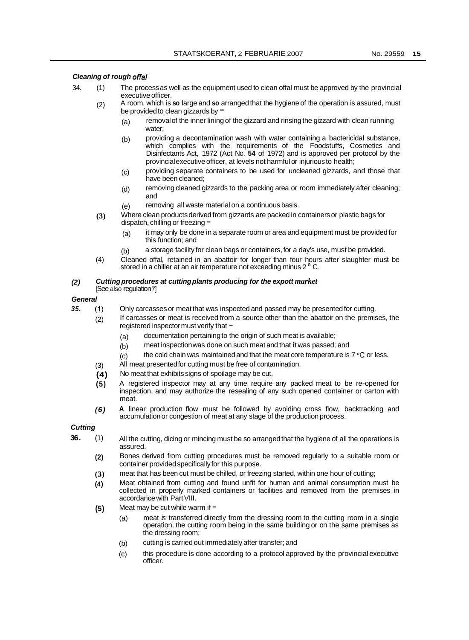#### *Cleaning of rough offal*

- 34. (1) The process as well as the equipment used to clean offal must be approved by the provincial executive officer.
	- (2) A room, which is **so** large and **so** arranged that the hygiene of the operation is assured, must be provided to clean gizzards by  $=$ 
		- (a) removal of the inner lining of the gizzard and rinsing the gizzard with clean running water;
		- (b) providing a decontamination wash with water containing a bactericidal substance, which complies with the requirements of the Foodstuffs, Cosmetics and Disinfectants Act, 1972 (Act No. **54** of 1972) and is approved per protocol by the provincial executive officer, at levels not harmful or injurious to health;
		- providing separate containers to be used for uncleaned gizzards, and those that have been cleaned; (c)
		- removing cleaned gizzards to the packing area or room immediately after cleaning; and (d)
		- removing all waste material on a continuous basis. (e)
	- Where clean products derived from gizzards are packed in containers or plastic bags for dispatch, chilling or freezing -**(3)** 
		- (a) it may only be done in a separate room or area and equipment must be provided for this function; and
		- (b) a storage facility for clean bags or containers, for a day's use, must be provided.
	- (4) Cleaned offal, retained in an abattoir for longer than four hours after slaughter must be stored in a chiller at an air temperature not exceeding minus 2  $^{\circ}$  C.

#### *Cutting procedures at cutting plants producing for the expott market (2)*

#### [See also regulation *T]*

### *General*

*35.* (1) Only carcasses or meat that was inspected and passed may be presented for cutting.

(2) If carcasses or meat is received from a source other than the abattoir on the premises, the registered inspector must verify that  $-$ 

- (a) documentation pertaining to the origin of such meat is available;
- (b) meat inspection was done on such meat and that it was passed; and
- (c) the cold chain was maintained and that the meat core temperature is  $7 \,^{\circ}$ C or less.
- All meat presented for cutting must be free of contamination. (3)
- No meat that exhibits signs of spoilage may be cut. **(4)**
- A registered inspector may at any time require any packed meat to be re-opened for inspection, and may authorize the resealing of any such opened container or carton with meat. **(5)**
- **A** linear production flow must be followed by avoiding cross flow, backtracking and accumulation or congestion of meat at any stage of the production process. *(6)*

### *Cutting*

- All the cutting, dicing or mincing must be so arranged that the hygiene of all the operations is assured. **36.** (1)
	- Bones derived from cutting procedures must be removed regularly to a suitable room or container provided specifically for this purpose. **(2)**
	- meat that has been cut must be chilled, or freezing started, within one hour of cutting; **(3)**
	- Meat obtained from cutting and found unfit for human and animal consumption must be collected in properly marked containers or facilities and removed from the premises in accordance with Part VIII. **(4)**
	- Meat may be cut while warm if  $-$ **(5)** 
		- (a) meat *is* transferred directly from the dressing room to the cutting room in a single operation, the cutting room being in the same building or on the same premises as the dressing room;
		- cutting is carried out immediately after transfer; and (b)
		- this procedure is done according to a protocol approved by the provincial executive officer. (c)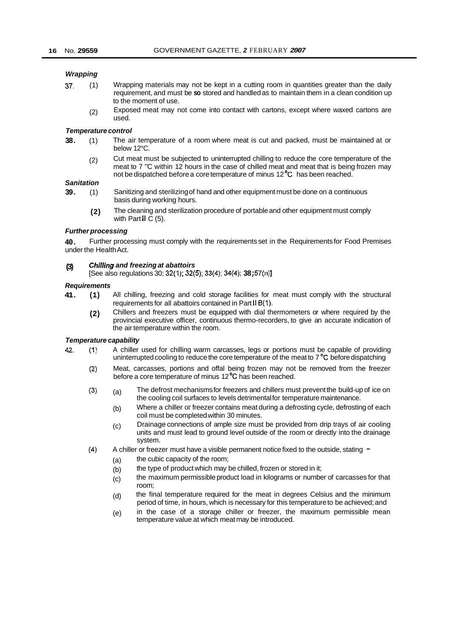#### *Wrapping*

- **37.** (1) Wrapping materials may not be kept in a cutting room in quantities greater than the daily requirement, and must be **so** stored and handled as to maintain them in a clean condition up to the moment of use.
	- Exposed meat may not come into contact with cartons, except where waxed cartons are 2) Expos<br>Iused

#### *Temperature control*

- **38.** (1) The air temperature of a room where meat is cut and packed, must be maintained at or below 12°C.
	- (2) Cut meat must be subjected to uninterrupted chilling to reduce the core temperature of the meat to 7 "C within 12 hours in the case of chilled meat and meat that is being frozen may not be dispatched before a core temperature of minus 12<sup>°</sup>C has been reached.

#### *Sanitation*

- Sanitizing and sterilizing of hand and other equipment must be done on a continuous basis during working hours. **39.** (1)
	- The cleaning and sterilization procedure of portable and other equipment must comply with Part  $\overline{I}$  C (5). **(2)**

#### *Further processing*

**40.**  under the Health Act. Further processing must comply with the requirements set in the Requirements for Food Premises

#### **(3) Chi//ing** *and freezing at abattoirs*

[See also regulations 30; 32(1); **32(5); 33(4); 34(4); 38;** 57(n)J

#### *Requirements*

- **41. (1)**  All chilling, freezing and cold storage facilities for meat must comply with the structural requirements for all abattoirs contained in Part II B(1).
	- **(2)**  Chillers and freezers must be equipped with dial thermometers or where required by the provincial executive officer, continuous thermo-recorders, to give an accurate indication of the air temperature within the room.

#### *Temperature capability*

- 42  $(1)$ A chiller used for chilling warm carcasses, legs or portions must be capable of providing uninterrupted cooling to reduce the core temperature of the meat to 7 °C before dispatching
	- Meat, carcasses, portions and offal being frozen may not be removed from the freezer  $(2)$ before a core temperature of minus 12 **"C** has been reached.
	- The defrost mechanisms for freezers and chillers must prevent the build-up of ice on  $(3)$ (a) the cooling coil surfaces to levels detrimental for temperature maintenance.
		- (b) Where a chiller or freezer contains meat during a defrosting cycle, defrosting of each coil must be completed within 30 minutes.
		- (c) Drainage connections of ample size must be provided from drip trays of air cooling units and must lead to ground level outside of the room or directly into the drainage system.
	- $(4)$ A chiller or freezer must have a visible permanent notice fixed to the outside, stating  $$ 
		- the cubic capacity of the room; (a)
		- the type of product which may be chilled, frozen or stored in it; (b)
		- the maximum permissible product load in kilograms or number of carcasses for that room;  $(c)$
		- the final temperature required for the meat in degrees Celsius and the minimum period of time, in hours, which is necessary for this temperature to be achieved; and (d)
		- in the case of a storage chiller or freezer, the maximum permissible mean temperature value at which meat may be introduced. (e)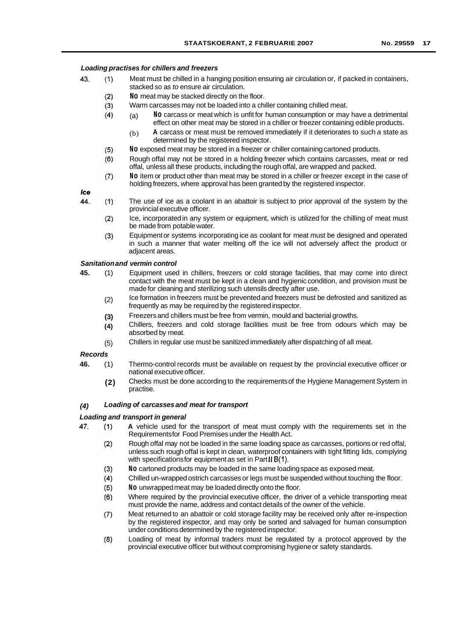#### *Loading practises for chillers and freezers*

- 43.  $(1)$ Meat must be chilled in a hanging position ensuring air circulation or, if packed in containers, stacked so as *to* ensure air circulation.
	- $(2)$ **No** meat may be stacked directly on the floor.
	- $(3)$ Warm carcasses may not be loaded into a chiller containing chilled meat.
		- (a) **No** carcass or meat which is unfit for human consumption or may have a detrimental effect on other meat may be stored in a chiller or freezer containing edible products.
			- (b) **A** carcass or meat must be removed immediately if it deteriorates to such *a* state as determined by the registered inspector.
	- **No** exposed meat may be stored in a freezer or chiller containing cartoned products.  $(5)$
	- Rough offal may not be stored in a holding freezer which contains carcasses, meat or red  $(6)$ offal, unless all these products, including the rough offal, are wrapped and packed.
	- **No** item or product other than meat may be stored in a chiller or freezer except in the case of  $(7)$ holding freezers, where approval has been granted by the registered inspector.

Ice

 $(4)$ 

- 44  $(1)$ The use of ice as a coolant in an abattoir is subject to prior approval of the system by the provincial executive officer.
	- $(2)$ Ice, incorporated in any system or equipment, which is utilized for the chilling of meat must be made from potable water.
	- Equipment or systems incorporating ice as coolant for meat must be designed and operated  $(3)$ in such a manner that water melting off the ice will not adversely affect the product or adjacent areas.

#### *Sanitation and vermin control*

- **45.** (1) Equipment used in chillers, freezers or cold storage facilities, that may come into direct contact with the meat must be kept in a clean and hygienic condition, and provision must be made for cleaning and sterilizing such utensils directly after use.
	- Ice formation in freezers must be prevented and freezers must be defrosted and sanitized as frequently as may be required by the registered inspector. (2)
	- Freezers and chillers must be free from vermin, mould and bacterial growths. **(3)**
	- Chillers, freezers and cold storage facilities must be free from odours which may be absorbed by meat. **(4)**
	- Chillers in regular use must be sanitized immediately after dispatching of all meat. (5)

#### *Records*

- Thermo-control records must be available on request by the provincial executive officer or national executive officer. **46.** (1)
	- Checks must be done according to the requirements of the Hygiene Management System in practise. **(2)**

#### *(4) Loading of carcasses and meat for transport*

#### *Loading and transport in general*

- 47. **A** vehicle used for the transport of meat must comply with the requirements set in the  $(1)$ Requirements for Food Premises under the Health Act.
	- $(2)$ Rough offal may not be loaded in the same loading space as carcasses, portions or red offal, unless such rough offal is kept in clean, waterproof containers with tight fitting lids, complying with specifications for equipment as set in Part II B(1).
	- $(3)$ **No** cartoned products may be loaded in the same loading space as exposed meat.
	- $(4)$ Chilled un-wrapped ostrich carcasses or legs must be suspended without touching the floor.
	- **No** unwrapped meat may be loaded directly onto the floor.  $(5)$
	- $(6)$ Where required by the provincial executive officer, the driver of a vehicle transporting meat must provide the name, address and contact details of the owner of the vehicle.
	- $(7)$ Meat returned to an abattoir or cold storage facility may be received only after re-inspection by the registered inspector, and may only be sorted and salvaged for human consumption under conditions determined by the registered inspector.
	- $(8)$ Loading of meat by informal traders must be regulated by a protocol approved by the provincial executive officer but without compromising hygiene or safety standards.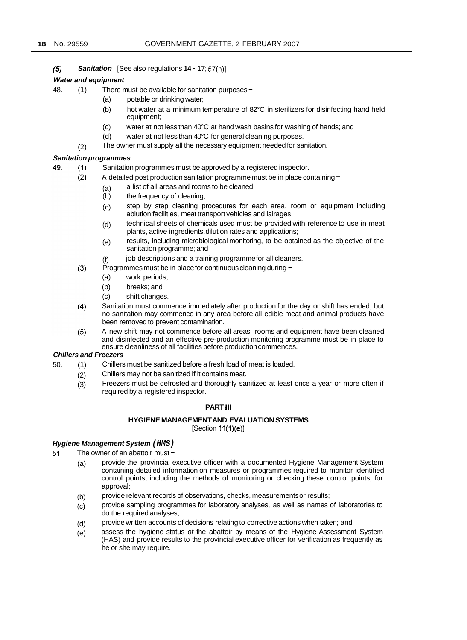49

*(5) Sanitation* [See also regulations **14** - 17; 57(h)]

#### *Water and equipment*

- 48. (1) There must be available for sanitation purposes -
	- (a) potable or drinking water;
		- (b) hot water at a minimum temperature of 82°C in sterilizers for disinfecting hand held equipment;
		- (c) water at not less than 40°C at hand wash basins for washing of hands; and
		- (d) water at not less than 40°C for general cleaning purposes.
	- The owner must supply all the necessary equipment needed for sanitation. (2)

#### *Sanitation programmes*

- $(1)$ Sanitation programmes must be approved by a registered inspector.
	- $(2)$ A detailed post production sanitation programme must be in place containing
		- a list of all areas and rooms to be cleaned;
		- (a) the frequency of cleaning;
		- (c) step by step cleaning procedures for each area, room or equipment including ablution facilities, meat transport vehicles and lairages;
		- (d) technical sheets of chemicals used must be provided with reference to use in meat plants, active ingredients, dilution rates and applications;
		- (e) results, including microbiological monitoring, to be obtained as the objective of the sanitation programme; and
		- (f) job descriptions and a training programme for all cleaners.
	- $(3)$ Programmes must be in place for continuous cleaning during  $-$ 
		- (a) work periods;
		- (b) breaks; and
		- (c) shift changes.
	- $(4)$ Sanitation must commence immediately after production for the day or shift has ended, but no sanitation may commence in any area before all edible meat and animal products have been removed to prevent contamination.
	- $(5)$ A new shift may not commence before all areas, rooms and equipment have been cleaned and disinfected and an effective pre-production monitoring programme must be in place to ensure cleanliness of all facilities before production commences.

#### *Chillers and Freezers*

- 50. (1) Chillers must be sanitized before a fresh load of meat is loaded.
	- (2) Chillers may not be sanitized if it contains meat.
	- (3) Freezers must be defrosted and thoroughly sanitized at least once a year or more often if required by a registered inspector.

#### **PART 111**

#### **HYGIENE MANAGEMENT AND EVALUATION SYSTEMS**   $[Section 11(1)(e)]$

#### *Hygiene Management System (HMS)*

- 51. The owner of an abattoir must -
	- (a) provide the provincial executive officer with a documented Hygiene Management System containing detailed information on measures or programmes required to monitor identified control points, including the methods of monitoring or checking these control points, for approval;
	- provide relevant records of observations, checks, measurements or results; (b)
	- provide sampling programmes for laboratory analyses, as well as names of laboratories to do the required analyses; (c)
	- provide written accounts of decisions relating to corrective actions when taken; and (d)
	- assess the hygiene status *of* the abattoir by means of the Hygiene Assessment System (HAS) and provide results to the provincial executive officer for verification as frequently as he or she may require. (e)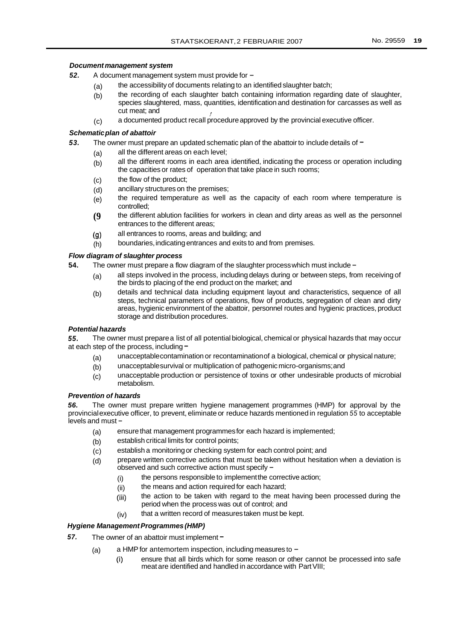#### *Document management system*

- 52. A document management system must provide for -
	- (a) the accessibility of documents relating to an identified slaughter batch;
	- (b) the recording of each slaughter batch containing information regarding date of slaughter, species slaughtered, mass, quantities, identification and destination for carcasses as well as cut meat; and
	- a documented product recall procedure approved by the provincial executive officer.  $(c)$

#### *Schematic plan of abattoir*

- The owner must prepare an updated schematic plan of the abattoir to include details of  $-$ *53.* 
	- (a) all the different areas on each level;
		- (b) all the different rooms in each area identified, indicating the process or operation including the capacities or rates of operation that take place in such rooms;
		- (c) the flow of the product;
		- (d) ancillary structures on the premises;
		- (e) the required temperature as well as the capacity of each room where temperature is controlled;
		- **(9**  the different ablution facilities for workers in clean and dirty areas as well as the personnel entrances to the different areas;
		- (9) all entrances to rooms, areas and building; and
	- (h) boundaries, indicating entrances and exits to and from premises.

#### *Flow diagram of slaughter process*

- The owner must prepare a flow diagram of the slaughter process which must include -**54.** 
	- (a) all steps involved in the process, including delays during or between steps, from receiving of the birds to placing of the end product on the market; and
	- (b) details and technical data including equipment layout and characteristics, sequence of all steps, technical parameters of operations, flow of products, segregation of clean and dirty areas, hygienic environment of the abattoir, personnel routes and hygienic practices, product storage and distribution procedures.

#### *Potential hazards*

*55.*  at each step of the process, including  $-$ The owner must prepare a list of all potential biological, chemical or physical hazards that may occur

- (a) unacceptable contamination or recontamination of a biological, chemical or physical nature;
- (b) unacceptable survival or multiplication of pathogenic micro-organisms; and
- (c) unacceptable production or persistence of toxins or other undesirable products of microbial metabolism.

#### *Prevention of hazards*

*56.* The owner must prepare written hygiene management programmes (HMP) for approval by the provincial executive officer, to prevent, eliminate or reduce hazards mentioned in regulation *55* to acceptable levels and must -

- (a) ensure that management programmes for each hazard is implemented;
- (b) establish critical limits for control points;
- (c) establish a monitoring or checking system for each control point; and
- (d) prepare written corrective actions that must be taken without hesitation when a deviation is observed and such corrective action must specify -
	- (i) the persons responsible to implement the corrective action;
	- (ii) the means and action required for each hazard;
	- (iii) the action to be taken with regard to the meat having been processed during the period when the process was out of control; and
	- (iv) that a written record of measures taken must be kept.

#### *Hygiene Management Programmes (HMP)*

- 57. The owner of an abattoir must implement -
	- (a) a HMP for antemortem inspection, including measures to  $-$ 
		- (i) ensure that all birds which for some reason or other cannot be processed into safe meat are identified and handled in accordance with Part VIII;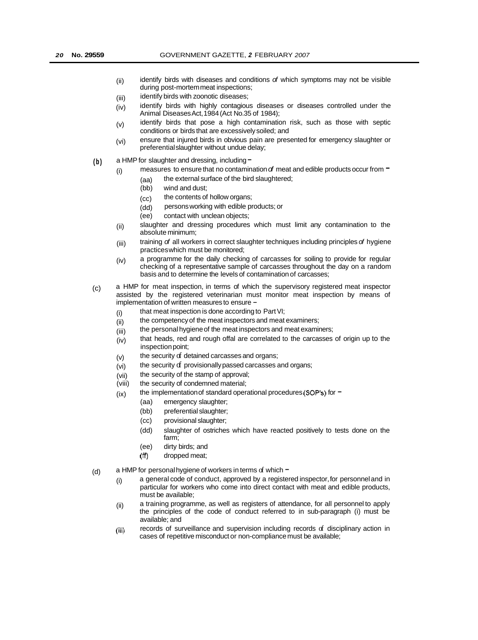- (ii) identify birds with diseases and conditions *of* which symptoms may not be visible during post-mortem meat inspections;
- (iii) identify birds with zoonotic diseases;
- (iv) identify birds with highly contagious diseases or diseases controlled under the Animal Diseases Act, 1984 (Act No.35 of 1984);
- (v) identify birds that pose a high contamination risk, such as those with septic conditions or birds that are excessively soiled; and
- (vi) ensure that injured birds in obvious pain are presented for emergency slaughter or preferential slaughter without undue delay;
- (b) a HMP for slaughter and dressing, including -
	- $(i)$  measures to ensure that no contamination  $of$  meat and edible products occur from  $\blacksquare$ 
		- (aa)<br>(bb) the external surface of the bird slaughtered;
			- wind and dust:
		- (cc) the contents of hollow organs;
		- (dd) persons working with edible products; or
		- contact with unclean objects;
	- slaughter and dressing procedures which must limit any contamination to the absolute minimum; (ii)
	- training *of* all workers in correct slaughter techniques including principles *of* hygiene practices which must be monitored; (iii)
	- a programme for the daily checking of carcasses for soiling to provide for regular checking of a representative sample of carcasses throughout the day on a random basis and to determine the levels of contamination of carcasses; (iv)
- (c) a HMP for meat inspection, in terms of which the supervisory registered meat inspector assisted by the registered veterinarian must monitor meat inspection by means of implementation of written measures to ensure -
	- (i) that meat inspection is done according to Part VI;
	- (ii) the competency of the meat inspectors and meat examiners;
	- (iii) the personal hygiene of the meat inspectors and meat examiners;
	- (iv) that heads, red and rough offal are correlated to the carcasses of origin up to the inspection point;
	- (v) the security of detained carcasses and organs;
	- (vi) the security  $d$  provisionally passed carcasses and organs;
	- (vii) the security of the stamp of approval;
	- (viii) the security of condemned material;
	- (ix) the implementation of standard operational procedures (SOP's) for  $=$ 
		- (aa) emergency slaughter;
		- (bb) preferential slaughter;
		- (cc) provisional slaughter;
		- (dd) slaughter of ostriches which have reacted positively to tests done on the farm;
		- (ee) dirty birds; and
		- (ff) dropped meat;
- (d) a HMP for personal hygiene of workers in terms of which  $=$ 
	- $(i)$  a general code of conduct, approved by a registered inspector, for personnel and in particular for workers who come into direct contact with meat and edible products, must be available;
	- a training programme, as well as registers of attendance, for all personnel to apply the principles of the code of conduct referred to in sub-paragraph (i) must be available; and (ii)
	- records of surveillance and supervision including records of disciplinary action in cases of repetitive misconduct or non-compliance must be available; (iii)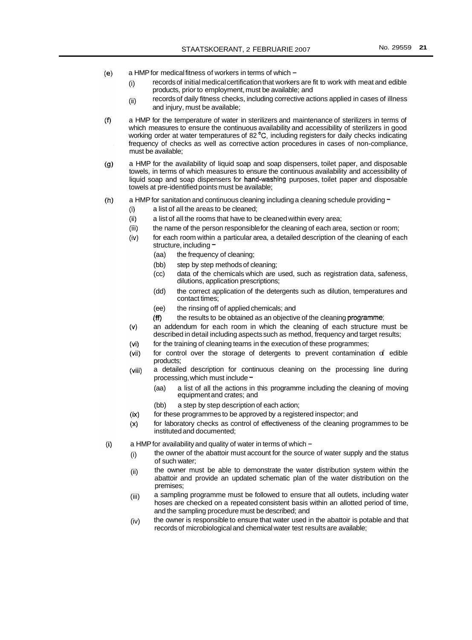- $(e)$ a HMP for medical fitness of workers in terms of which -
	- (i) records of initial medical certification that workers are fit to work with meat and edible products, prior to employment, must be available; and
	- (ii) records of daily fitness checks, including corrective actions applied in cases of illness and injury, must be available;
- $(f)$ a HMP for the temperature of water in sterilizers and maintenance of sterilizers in terms of which measures to ensure the continuous availability and accessibility of sterilizers in good working order at water temperatures of 82 *'C,* including registers for daily checks indicating frequency of checks as well as corrective action procedures in cases of non-compliance, must be available;
- $(q)$ a HMP for the availability of liquid soap and soap dispensers, toilet paper, and disposable towels, in terms of which measures to ensure the continuous availability and accessibility of liquid soap and soap dispensers for hand-washing purposes, toilet paper and disposable towels at pre-identified points must be available;
- a HMP for sanitation and continuous cleaning including a cleaning schedule providing - $(h)$ 
	- $(i)$ a list of all the areas to be cleaned;
	- $(ii)$ a list of all the rooms that have to be cleaned within every area;
	- $(iii)$ the name of the person responsible for the cleaning of each area, section or room;
	- $(iv)$ for each room within a particular area, a detailed description of the cleaning of each structure, including -
		- (aa) the frequency of cleaning;
		- (bb) step by step methods of cleaning;
		- (cc) data of the chemicals which are used, such as registration data, safeness, dilutions, application prescriptions;
		- (dd) the correct application of the detergents such as dilution, temperatures and contact times;
		- (ee) the rinsing off of applied chemicals; and
		- *(ff)* the results to be obtained as an objective of the cleaning programme;
	- an addendum for each room in which the cleaning of each structure must be  $(v)$ described in detail including aspects such as method, frequency and target results;
	- $(vi)$ for the training of cleaning teams in the execution of these programmes;
	- $(vii)$ for control over the storage of detergents to prevent contamination of edible products;
	- a detailed description for continuous cleaning on the processing line during (viii) processing, which must include -
		- (aa) a list of all the actions in this programme including the cleaning of moving equipment and crates; and
		- (bb) a step by step description of each action;
	- for these programmes to be approved by a registered inspector; and  $(ix)$
	- for laboratory checks as control of effectiveness of the cleaning programmes to be  $(x)$ instituted and documented;
- $(i)$ a HMP for availability and quality of water in terms of which -
	- (i) the owner of the abattoir must account for the source of water supply and the status of such water;
	- (ii) the owner must be able to demonstrate the water distribution system within the abattoir and provide an updated schematic plan of the water distribution on the premises;
	- a sampling programme must be followed to ensure that all outlets, including water hoses are checked on a repeated consistent basis within an allotted period of time, and the sampling procedure must be described; and (iii)
	- the owner is responsible to ensure that water used in the abattoir is potable and that records of microbiological and chemical water test results are available; (iv)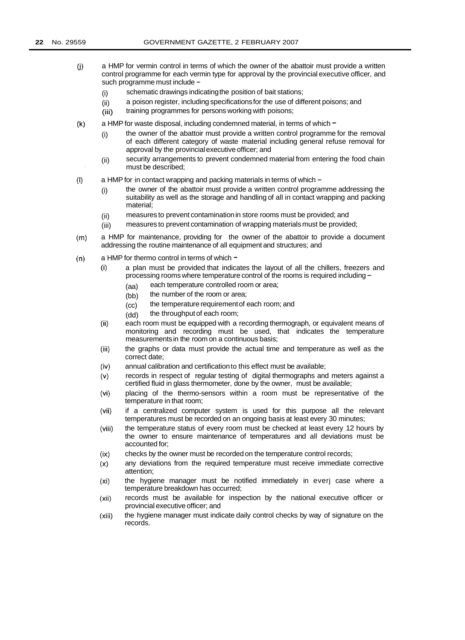- a HMP for vermin control in terms of which the owner of the abattoir must provide a written  $(i)$ control programme for each vermin type for approval by the provincial executive officer, and such programme must include -
	- (i) schematic drawings indicating the position of bait stations;
	- (ii) a poison register, including specifications for the use of different poisons; and
	- (iii) training programmes for persons working with poisons;
- a HMP for waste disposal, including condemned material, in terms of which  $=$  $(k)$ 
	- (i) the owner of the abattoir must provide a written control programme for the removal of each different category of waste material including general refuse removal for approval by the provincial executive officer; and
	- security arrangements to prevent condemned material from entering the food chain must be described; (ii)
- a HMP for in contact wrapping and packing materials in terms of which - $(1)$ 
	- the owner of the abattoir must provide a written control programme addressing the suitability as well as the storage and handling of all in contact wrapping and packing material; (i)
	- measures to prevent contamination in store rooms must be provided; and (ii)
	- measures to prevent contamination of wrapping materials must be provided; (iii)
- $(m)$ a HMP for maintenance, providing for the owner of the abattoir to provide a document addressing the routine maintenance of all equipment and structures; and
- $(n)$ a HMP for thermo control in terms of which  $$ 
	- a plan must be provided that indicates the layout of all the chillers, freezers and  $(i)$ processing rooms where temperature control of the rooms is required including -
		- (aa) each temperature controlled room or area;
		- (bb) the number of the room or area;
		- (cc) the temperature requirement of each room; and
		- (dd) the throughput of each room;
	- $(ii)$ each room must be equipped with a recording thermograph, or equivalent means of monitoring and recording must be used, that indicates the temperature measurements in the room on a continuous basis;
	- $(iii)$ the graphs or data must provide the actual time and temperature as well as the correct date;
	- annual calibration and certification to this effect must be available;  $(iv)$
	- records in respect of regular testing of digital thermographs and meters against a (v) certified fluid in glass thermometer, done by the owner, must be available;
	- placing of the thermo-sensors within a room must be representative of the  $(vi)$ temperature in that room;
	- if a centralized computer system is used for this purpose all the relevant  $(vii)$ temperatures must be recorded on an ongoing basis at least every 30 minutes;
	- the temperature status of every room must be checked at least every 12 hours by  $(viii)$ the owner to ensure maintenance of temperatures and all deviations must be accounted for;
	- $(ix)$ checks by the owner must be recorded on the temperature control records;
	- any deviations from the required temperature must receive immediate corrective  $(x)$ attention;
	- the hygiene manager must be notified immediately in everj case where a  $(x<sub>i</sub>)$ temperature breakdown has occurred;
	- records must be available for inspection by the national executive officer or  $(xii)$ provincial executive officer; and
	- the hygiene manager must indicate daily control checks by way of signature on the  $(xiii)$ records.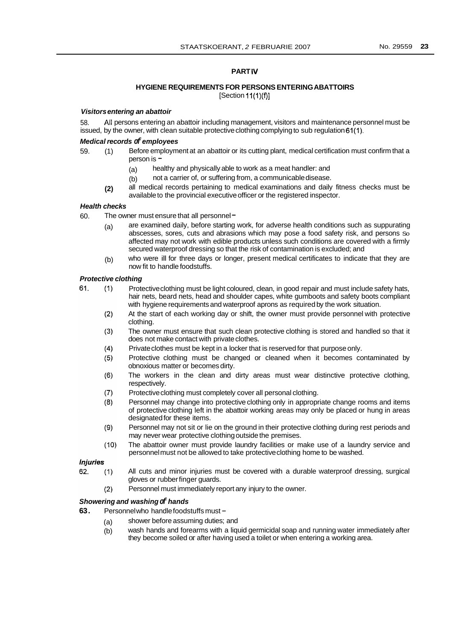#### **PART IV**

#### **HYGIENE REQUIREMENTS FOR PERSONS ENTERING ABATTOIRS**   $[Section 11(1)(f)]$

#### *Visitors entering an abattoir*

58. issued, by the owner, with clean suitable protective clothing complying to sub regulation 61(1). All persons entering an abattoir including management, visitors and maintenance personnel must be

#### *Medical records of employees*

- 59. (1) Before employment at an abattoir or its cutting plant, medical certification must confirm that a person is -
	- (a) healthy and physically able to work as a meat handler: and
	- (b) not a carrier of, or suffering from, a communicable disease.
	- all medical records pertaining to medical examinations and daily fitness checks must be available to the provincial executive officer or the registered inspector. **(2)**

#### *Health checks*

- 60. The owner must ensure that all personnel  $=$ 
	- (a) are examined daily, before starting work, for adverse health conditions such as suppurating abscesses, sores, cuts and abrasions which may pose a food safety risk, and persons So affected may not work with edible products unless such conditions are covered with a firmly secured waterproof dressing so that the risk of contamination is excluded; and
	- who were ill for three days or longer, present medical certificates to indicate that they are now fit to handle foodstuffs. (b)

#### *Protective clothing*

- Protective clothing must be light coloured, clean, in good repair and must include safety hats, 61.  $(1)$ hair nets, beard nets, head and shoulder capes, white gumboots and safety boots compliant with hygiene requirements and waterproof aprons as required by the work situation.
	- At the start of each working day or shift, the owner must provide personnel with protective  $(2)$ clothing.
	- $(3)$ The owner must ensure that such clean protective clothing is stored and handled so that it does not make contact with private clothes.
	- $(4)$ Private clothes must be kept in a locker that is reserved for that purpose only.
	- $(5)$ Protective clothing must be changed or cleaned when it becomes contaminated by obnoxious matter or becomes dirty.
	- $(6)$ The workers in the clean and dirty areas must wear distinctive protective clothing, respectively.
	- $(7)$ Protective clothing must completely cover all personal clothing.
	- $(8)$ Personnel may change into protective clothing only in appropriate change rooms and items of protective clothing left in the abattoir working areas may only be placed or hung in areas designated for these items.
	- Personnel may not sit or lie on the ground in their protective clothing during rest periods and  $(9)$ may never wear protective clothing outside the premises.
	- $(10)$ The abattoir owner must provide laundry facilities or make use of a laundry service and personnel must not be allowed to take protective clothing home to be washed.

#### **Injuries**

- 62. All cuts and minor injuries must be covered with a durable waterproof dressing, surgical  $(1)$ gloves or rubber finger guards.
	- Personnel must immediately report any injury to the owner.  $(2)$

#### *Showering and washing of hands*

- **63.** Personnel who handle foodstuffs must
	- (a) shower before assuming duties; and
	- (b) wash hands and forearms with a liquid germicidal soap and running water immediately after they become soiled or after having used a toilet or when entering a working area.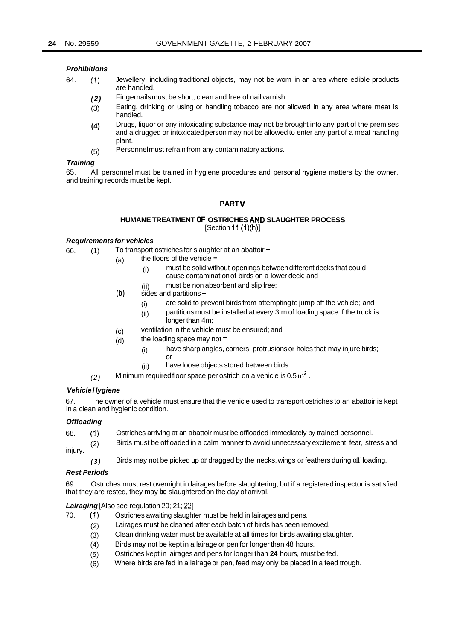#### *Prohibitions*

- 64. (1) Jewellery, including traditional objects, may not be worn in an area where edible products are handled.
	- *(2)*  Fingernails must be short, clean and free of nail varnish.
	- (3) Eating, drinking or using or handling tobacco are not allowed in any area where meat is handled.
	- **(4)**  Drugs, liquor or any intoxicating substance may not be brought into any part of the premises and a drugged or intoxicated person may not be allowed to enter any part of a meat handling plant.
	- Personnel must refrain from any contaminatory actions. (5)

#### *Training*

All personnel must be trained in hygiene procedures and personal hygiene matters by the owner, 65. and training records must be kept.

#### **PART V**

#### **HUMANE TREATMENT OF OSTRICHES AND SLAUGHTER PROCESS**  [Section 11 (1)(h)]

#### *Requirements for vehicles*

66. (1) To transport ostriches for slaughter at an abattoir  $=$ 

- (a) the floors of the vehicle  $-$ 
	- (i) must be solid without openings between different decks that could cause contamination of birds on a lower deck; and
	- (ii) must be non absorbent and slip free;
- **(b)** sides and partitions
	- (i) are solid to prevent birds from attempting to jump off the vehicle; and
	- (ii) partitions must be installed at every 3 m of loading space if the truck is
	- ventilation in the vehicle must be ensured; and longer than 4m;
- the loading space may not  $=$ (c) (d)
	- (i) have sharp angles, corners, protrusions or holes that may injure birds; or
	- (ii) have loose objects stored between birds.
- *(2)*  Minimum required floor space per ostrich on a vehicle is 0.5 **m2** .

#### *Vehicle Hygiene*

67. in a clean and hygienic condition. The owner of a vehicle must ensure that the vehicle used to transport ostriches to an abattoir is kept

#### *Offloading*

- 68. (1) Ostriches arriving at an abattoir must be offloaded immediately by trained personnel.
- (2) injury. Birds must be offloaded in a calm manner to avoid unnecessary excitement, fear, stress and
	- *(3)*  Birds may not be picked up or dragged by the necks, wings or feathers during off loading.

#### *Rest Periods*

69. that they are rested, they may **be** slaughtered on the day of arrival. Ostriches must rest overnight in lairages before slaughtering, but if a registered inspector is satisfied

*Lairaging* [Also see regulation 20; 21; 221

- 70. (1) Ostriches awaiting slaughter must be held in lairages and pens.
	- (2) Lairages must be cleaned after each batch of birds has been removed.
	- (3) Clean drinking water must be available at all times for birds awaiting slaughter.
	- (4) Birds may not be kept in a lairage or pen for longer than 48 hours.
	- (5) Ostriches kept in lairages and pens for longer than **24** hours, must be fed.
	- (6) Where birds are fed in a lairage or pen, feed may only be placed in a feed trough.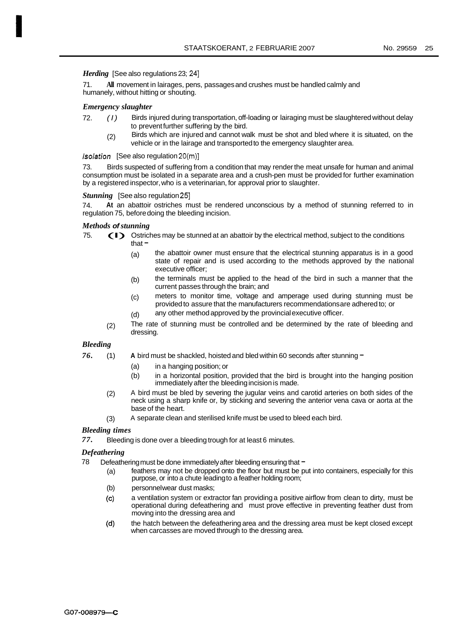*Herding* [See also regulations 23; 24]

71. humanely, without hitting or shouting. **All** movement in lairages, pens, passages and crushes must be handled calmly and

#### *Emergency slaughter*

- 72. *(I)*  Birds injured during transportation, off-loading or lairaging must be slaughtered without delay to prevent further suffering by the bird.
	- (2) Birds which are injured and cannot walk must be shot and bled where it is situated, on the vehicle or in the lairage and transported to the emergency slaughter area.

#### */solation* [See also regulation 20(m)]

73. Birds suspected of suffering from a condition that may render the meat unsafe for human and animal consumption must be isolated in a separate area and a crush-pen must be provided for further examination by a registered inspector, who is a veterinarian, for approval prior to slaughter.

#### **Stunning** [See also regulation 25]

74. regulation 75, before doing the bleeding incision. **At** an abattoir ostriches must be rendered unconscious by a method of stunning referred to in

#### *Methods of stunning*

- 75. (I) Ostriches may be stunned at an abattoir by the electrical method, subject to the conditions that -
	- (a) the abattoir owner must ensure that the electrical stunning apparatus is in a good state of repair and is used according to the methods approved by the national executive officer;
	- the terminals must be applied to the head of the bird in such a manner that the current passes through the brain; and (b)
	- meters to monitor time, voltage and amperage used during stunning must be provided to assure that the manufacturers recommendations are adhered to; or (c)
	- any other method approved by the provincial executive officer. (d)
	- The rate of stunning must be controlled and be determined by the rate of bleeding and (2) The rate<br>dressing.

#### *Bleeding*

- *76.* (1) **A** bird must be shackled, hoisted and bled within 60 seconds after stunning
	- (a) in a hanging position; or
	- (b) in a horizontal position, provided that the bird is brought into the hanging position immediately after the bleeding incision is made.
	- A bird must be bled by severing the jugular veins and carotid arteries on both sides of the neck using a sharp knife or, by sticking and severing the anterior vena cava or aorta at the base of the heart. (2)
	- A separate clean and sterilised knife must be used to bleed each bird. (3)

#### *Bleeding times*

Bleeding is done over a bleeding trough for at least 6 minutes. *77.* 

#### *Defeathering*

- Defeathering must be done immediately after bleeding ensuring that -78
	- (a) feathers may not be dropped onto the floor but must be put into containers, especially for this purpose, or into a chute leading to a feather holding room;
	- (b) personnel wear dust masks;
	- (c) a ventilation system or extractor fan providing a positive airflow from clean to dirty, must be operational during defeathering and must prove effective in preventing feather dust from moving into the dressing area and
	- the hatch between the defeathering area and the dressing area must be kept closed except when carcasses are moved through to the dressing area. (d)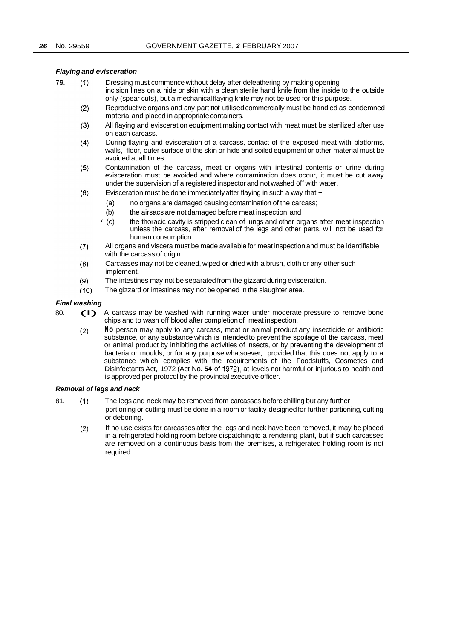#### *Flaying and evisceration*

- 79. Dressing must commence without delay after defeathering by making opening  $(1)$ incision lines on a hide or skin with a clean sterile hand knife from the inside to the outside only (spear cuts), but a mechanical flaying knife may not be used for this purpose.
	- $(2)$ Reproductive organs and any part not utilised commercially must be handled as condemned material and placed in appropriate containers.
	- All flaying and evisceration equipment making contact with meat must be sterilized after use  $(3)$ on each carcass.
	- $(4)$ During flaying and evisceration of a carcass, contact of the exposed meat with platforms, walls, floor, outer surface of the skin or hide and soiled equipment or other material must be avoided at all times.
	- Contamination of the carcass, meat or organs with intestinal contents or urine during  $(5)$ evisceration must be avoided and where contamination does occur, it must be cut away under the supervision of a registered inspector and not washed off with water.
	- Evisceration must be done immediately after flaying in such a way that  $(6)$ 
		- (a) no organs are damaged causing contamination of the carcass;
		- (b) the airsacs are not damaged before meat inspection; and
		- (c) the thoracic cavity is stripped clean of lungs and other organs after meat inspection unless the carcass, after removal of the legs and other parts, will not be used for human consumption.
	- All organs and viscera must be made available for meat inspection and must be identifiable  $(7)$ with the carcass of origin.
	- Carcasses may not be cleaned, wiped or dried with a brush, cloth or any other such  $(8)$ implement.
	- The intestines may not be separated from the gizzard during evisceration.  $(9)$
	- $(10)$ The gizzard or intestines may not be opened in the slaughter area.

- *Final washing*  80. (I) A carcass may be washed with running water under moderate pressure to remove bone chips and to wash off blood after completion of meat inspection.
	- (2) **No** person may apply to any carcass, meat or animal product any insecticide or antibiotic substance, or any substance which is intended to prevent the spoilage of the carcass, meat or animal product by inhibiting the activities of insects, or by preventing the development of bacteria or moulds, or for any purpose whatsoever, provided that this does not apply to a substance which complies with the requirements of the Foodstuffs, Cosmetics and Disinfectants Act, 1972 (Act No. **54** of 1972), at levels not harmful or injurious to health and is approved per protocol by the provincial executive officer.

#### *Removal of legs and neck*

- 81. (1) The legs and neck may be removed from carcasses before chilling but any further portioning or cutting must be done in a room or facility designed for further portioning, cutting or deboning.
	- If no use exists for carcasses after the legs and neck have been removed, it may be placed in a refrigerated holding room before dispatching to a rendering plant, but if such carcasses are removed on a continuous basis from the premises, a refrigerated holding room is not required. (2)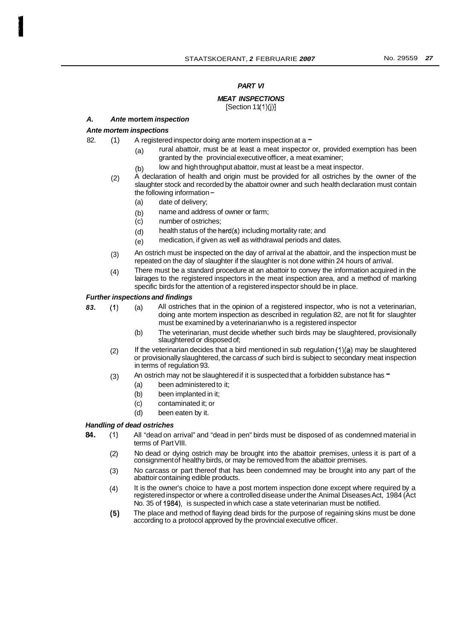#### *PART VI*

# *MEAT INSPECTIONS*

 $[Section 11(1)(j)]$ 

#### *A. Ante* **mortem** *inspection*

### *Ante mortem inspections*

- 82.  $(1)$  A registered inspector doing ante mortem inspection at a  $=$ 
	- (a) rural abattoir, must be at least a meat inspector or, provided exemption has been granted by the provincial executive officer, a meat examiner;
	- (b) low and high throughput abattoir, must at least be a meat inspector.
	- A declaration of health and origin must be provided for all ostriches by the owner of the slaughter stock and recorded by the abattoir owner and such health declaration must contain the following information - (2)
		- (a) date of delivery;
		- (b) name and address of owner or farm;
		- (c) number of ostriches;
		- (d) health status of the herd(s) including mortality rate; and
		- (e) medication, if given as well as withdrawal periods and dates.
	- An ostrich must be inspected on the day of arrival at the abattoir, and the inspection must be repeated on the day of slaughter if the slaughter is not done within 24 hours of arrival. (3)
	- There must be a standard procedure at an abattoir to convey the information acquired in the lairages to the registered inspectors in the meat inspection area, and a method of marking specific birds for the attention of a registered inspector should be in place. (4)

#### *Further inspections and findings*

*83.* (1) (a) All ostriches that in the opinion of a registered inspector, who is not a veterinarian, doing ante mortem inspection as described in regulation 82, are not fit for slaughter must be examined by a veterinarian who is a registered inspector

- (b) The veterinarian, must decide whether such birds may be slaughtered, provisionally slaughtered or disposed of;
- If the veterinarian decides that a bird mentioned in sub regulation  $(1)(a)$  may be slaughtered or provisionally slaughtered, the carcass *of* such bird is subject to secondary meat inspection in terms of regulation 93. (2)
- An ostrich may not be slaughtered if it is suspected that a forbidden substance has  $-$ (3)
	- (a) been administered to it;
	- (b) been implanted in it;
	- (c) contaminated it; or
	- (d) been eaten by it.

#### *Handling of dead ostriches*

- All "dead on arrival" and "dead in pen" birds must be disposed of as condemned material in terms of Part VIII. **84.** (1)
	- No dead or dying ostrich may be brought into the abattoir premises, unless it is part of a consignment of healthy birds, or may be removed from the abattoir premises. (2)
	- No carcass or part thereof that has been condemned may be brought into any part of the abattoir containing edible products. (3)
	- It is the owner's choice to have a post mortem inspection done except where required by a registered inspector or where a controlled disease under the Animal Diseases Act, 1984 (Act No. 35 of 1984), is suspected in which case a state veterinarian must be notified. (4)
	- The place and method of flaying dead birds for the purpose of regaining skins must be done according to a protocol approved by the provincial executive officer. **(5)**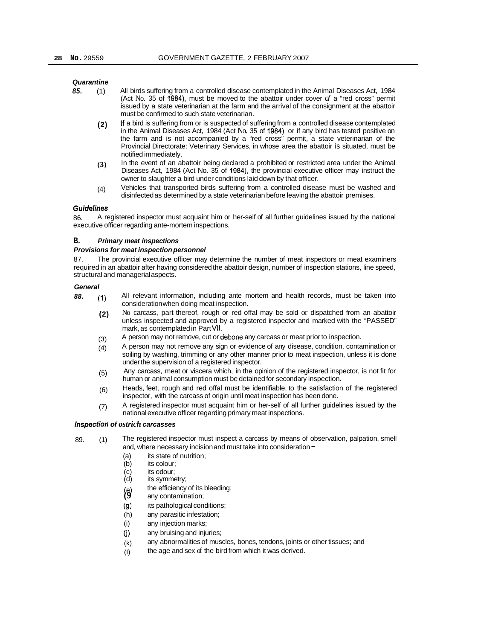#### *Quarantin e*

- *85.* (1) All birds suffering from a controlled disease contemplated in the Animal Diseases Act, 1984 (Act No. 35 of 1984), must be moved to the abattoir under cover *of* a "red cross" permit issued by a state veterinarian at the farm and the arrival of the consignment at the abattoir must be confirmed to such state veterinarian.
	- If a bird is suffering from or is suspected of suffering from a controlled disease contemplated in the Animal Diseases Act, 1984 (Act No. 35 of 1984), or if any bird has tested positive on the farm and is not accompanied by a "red cross" permit, a state veterinarian of the Provincial Directorate: Veterinary Services, in whose area the abattoir is situated, must be notified immediately. **(2)**
	- In the event of an abattoir being declared a prohibited or restricted area under the Animal Diseases Act, 1984 (Act No. 35 of **1984),** the provincial executive officer may instruct the owner to slaughter a bird under conditions laid down by that officer. **(3)**
	- Vehicles that transported birds suffering from a controlled disease must be washed and disinfected as determined by a state veterinarian before leaving the abattoir premises. (4)

#### *Guidehes*

86. executive officer regarding ante-mortem inspections. A registered inspector must acquaint him or her-self of all further guidelines issued by the national

#### **B.** *Primary meat inspections*

#### *Provisions for meat inspection personnel*

87. The provincial executive officer may determine the number of meat inspectors or meat examiners required in an abattoir after having considered the abattoir design, number of inspection stations, line speed, structural and managerial aspects.

#### *General*

- *88.* **(1)**  All relevant information, including ante mortem and health records, must be taken into consideration when doing meat inspection.
	- **(2)**  No carcass, part thereof, rough or red offal may be sold or dispatched from an abattoir unless inspected and approved by a registered inspector and marked with the "PASSED" mark, as contemplated in Part VII.
	- A person may not remove, cut or debone any carcass or meat prior to inspection. (3)
	- A person may not remove any sign or evidence of any disease, condition, contamination or soiling by washing, trimming or any other manner prior to meat inspection, unless it is done under the supervision of a registered inspector. (4)
	- Any carcass, meat or viscera which, in the opinion of the registered inspector, is not fit for human or animal consumption must be detained for secondary inspection. (5)
	- Heads, feet, rough and red offal must be identifiable, to the satisfaction of the registered inspector, with the carcass of origin until meat inspection has been done. (6)
	- A registered inspector must acquaint him or her-self of all further guidelines issued by the national executive officer regarding primary meat inspections. (7)

#### *lnspection of ostrich carcasses*

- 89. (1) The registered inspector must inspect a carcass by means of observation, palpation, smell and, where necessary incision and must take into consideration -
	- (a) its state of nutrition;<br>(b) its colour;
	- $(b)$  its colour;<br>(c) its odour:
	- (c) its odour;<br>(d) its symme
	- its symmetry;
	- the efficiency of its bleeding;
	- (e) the efficiency of its i<br>(9) any contamination;
	- (9) its pathological conditions;
	- (h) any parasitic infestation;
	- (i) any injection marks;
	- (j) any bruising and injuries;
	- (k) any abnormalities of muscles, bones, tendons, joints or other tissues; and
	- (I) the age and sex of the bird from which it was derived.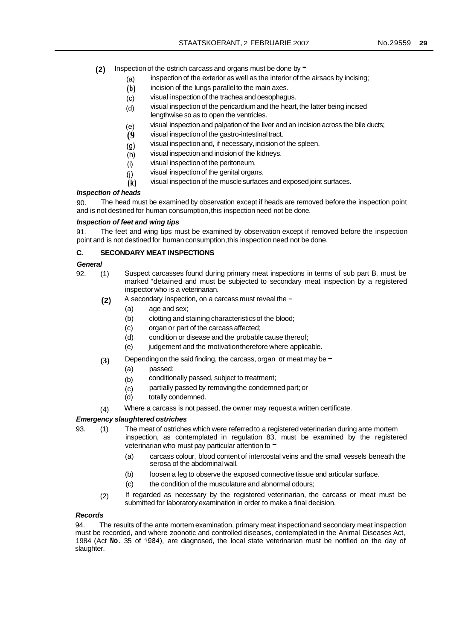- (2) Inspection of the ostrich carcass and organs must be done by  $=$ 
	- (a) inspection of the exterior as well as the interior of the airsacs by incising;
	- **(b)**  incision of the lungs parallel to the main axes.
	- (c) visual inspection of the trachea and oesophagus.
	- (d) visual inspection of the pericardium and the heart, the latter being incised lengthwise so as to open the ventricles.
	- (e) visual inspection and palpation of the liver and an incision across the bile ducts;
	- **(9**  visual inspection of the gastro-intestinal tract.
	- (9) visual inspection and, if necessary, incision of the spleen.
	- (h) visual inspection and incision of the kidneys.
	- (i) visual inspection of the peritoneum.
	- (j) visual inspection of the genital organs.
	- **(k)**  visual inspection of the muscle surfaces and exposed joint surfaces.

#### *Inspection of heads*

 $90^{\circ}$ and is not destined for human consumption, this inspection need not be done. The head must be examined by observation except if heads are removed before the inspection point

#### *Inspection of feet and wing tips*

91. point and is not destined for human consumption, this inspection need not be done. The feet and wing tips must be examined by observation except if removed before the inspection

#### **C. SECONDARY MEAT INSPECTIONS**

#### *General*

- 92. (1) Suspect carcasses found during primary meat inspections in terms of sub part B, must be marked "detained and must be subjected to secondary meat inspection by a registered inspector who is a veterinarian.
	- A secondary inspection, on a carcass must reveal the -**(2)** 
		- (a) age and sex;
		- (b) clotting and staining characteristics of the blood;
		- (c) organ or part of the carcass affected;
		- (d) condition or disease and the probable cause thereof;
		- (e) judgement and the motivation therefore where applicable.
	- Depending on the said finding, the carcass, organ or meat may be  $=$ **(3)** 
		- (a) passed;
		- (b) conditionally passed, subject to treatment;
		- (c) partially passed by removing the condemned part; or
		- (d) totally condemned.
	- Where a carcass is not passed, the owner may request a written certificate. (4)

#### *Emergency slaughtered ostriches*

- The meat of ostriches which were referred to a registered veterinarian during ante mortem inspection, as contemplated in regulation 83, must be examined by the registered veterinarian who must pay particular attention to  $-$ 93. (1)
	- (a) carcass colour, blood content of intercostal veins and the small vessels beneath the serosa of the abdominal wall.
	- (b) loosen a leg to observe the exposed connective tissue and articular surface.
	- (c) the condition of the musculature and abnormal odours;
	- If regarded as necessary by the registered veterinarian, the carcass or meat must be submitted for laboratory examination in order to make a final decision. (2)

#### *Records*

94. The results of the ante mortem examination, primary meat inspection and secondary meat inspection must be recorded, and where zoonotic and controlled diseases, contemplated in the Animal Diseases Act, 1984 (Act **No.** 35 of 1984), are diagnosed, the local state veterinarian must be notified on the day of slaughter.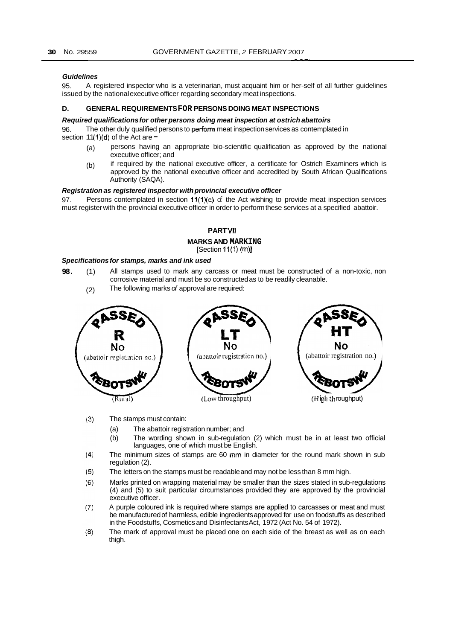#### *Guidelines*

95. issued by the national executive officer regarding secondary meat inspections. A registered inspector who is a veterinarian, must acquaint him or her-self of all further guidelines

#### **D. GENERAL REQUIREMENTS FOR PERSONS DOING MEAT INSPECTIONS**

#### *Required qualifications for other persons doing meat inspection at ostrich abattoirs*

96. section  $11(1)(d)$  of the Act are  $-$ The other duly qualified persons to perform meat inspection services as contemplated in

- (a) persons having an appropriate bio-scientific qualification as approved by the national executive officer; and
- (b) if required by the national executive officer, a certificate for Ostrich Examiners which is approved by the national executive officer and accredited by South African Qualifications Authority (SAQA).

#### *Registration as registered inspector with provincial executive officer*

97. must register with the provincial executive officer in order to perform these services at a specified abattoir. Persons contemplated in section  $11(1)(c)$  of the Act wishing to provide meat inspection services

#### **PART VI1**

#### **MARKS AND MARKING**

#### [Section 11(1) (m)]

#### *Specifications for stamps, marks and ink used*

- **98.** (1) All stamps used to mark any carcass or meat must be constructed of a non-toxic, non corrosive material and must be so constructed as to be readily cleanable.
	- (2) The following marks *of* approval are required:



- $(3)$ The stamps must contain:
	- (a) The abattoir registration number; and
	- (b) The wording shown in sub-regulation (2) which must be in at least two official languages, one of which must be English.
- $(4)$ The minimum sizes of stamps are 60 mm in diameter for the round mark shown in sub regulation (2).
- $(5)$ The letters on the stamps must be readable and may not be less than 8 mm high.
- $(6)$ Marks printed on wrapping material may be smaller than the sizes stated in sub-regulations (4) and (5) to suit particular circumstances provided they are approved by the provincial executive officer.
- $(7)$ A purple coloured ink is required where stamps are applied to carcasses or meat and must be manufactured of harmless, edible ingredients approved for use on foodstuffs as described in the Foodstuffs, Cosmetics and Disinfectants Act, 1972 (Act No. 54 of 1972).
- $(8)$ The mark of approval must be placed one on each side of the breast as well as on each thigh.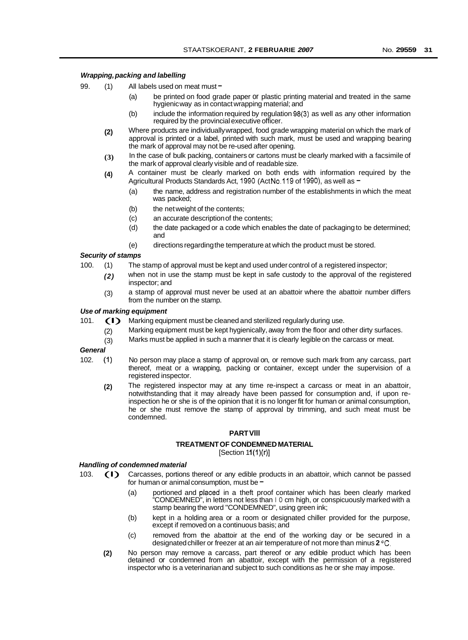#### *Wrapping, packing and labelling*

- 99. (1) All labels used on meat must -
	- (a) be printed on food grade paper or plastic printing material and treated in the same hygienic way as in contact wrapping material; and
	- (b) include the information required by regulation 98(3) as well as any other information required by the provincial executive officer.
	- Where products are individually wrapped, food grade wrapping material on which the mark of approval is printed or a label, printed with such mark, must be used and wrapping bearing the mark of approval may not be re-used after opening. **(2)**
	- In the case of bulk packing, containers or cartons must be clearly marked with a facsimile of the mark of approval clearly visible and of readable size. **(3)**
	- A container must be clearly marked on both ends with information required by the Agricultural Products Standards Act, 1990 (Act No.119 of 1990), as well as -**(4)** 
		- (a) the name, address and registration number of the establishments in which the meat was packed;
		- (b) the net weight of the contents;
		- (c) an accurate description of the contents;
		- (d) the date packaged or a code which enables the date of packaging to be determined; and
		- (e) directions regarding the temperature at which the product must be stored.

#### *Security of stamps*

- The stamp of approval must be kept and used under control of a registered inspector; 100. (1)
	- when not in use the stamp must be kept in safe custody to the approval of the registered inspector; and *(2)*
	- a stamp of approval must never be used at an abattoir where the abattoir number differs from the number on the stamp. (3)

# *Use of marking equipment*<br>101. **(I)** Marking equip

- Marking equipment must be cleaned and sterilized regularly during use.
	- Marking equipment must be kept hygienically, away from the floor and other dirty surfaces. (2)
	- Marks must be applied in such a manner that it is clearly legible on the carcass or meat. (3)

#### *General*

- No person may place a stamp of approval on, or remove such mark from any carcass, part thereof, meat or a wrapping, packing or container, except under the supervision of a registered inspector. 102. (1)
	- The registered inspector may at any time re-inspect a carcass or meat in an abattoir, notwithstanding that it may already have been passed for consumption and, if upon reinspection he or she is of the opinion that it is no longer fit for human or animal consumption, he or she must remove the stamp of approval by trimming, and such meat must be condemned. **(2)**

#### **PART Vlll**

#### **TREATMENT OF CONDEMNED MATERIAL**

 $[Section 11(1)(r)]$ 

#### *Handling of condemned material*

- 103. (I) Carcasses, portions thereof or any edible products in an abattoir, which cannot be passed for human or animal consumption, must be  $\overline{ }$ 
	- (a) portioned and placed in a theft proof container which has been clearly marked "CONDEMNED", in letters not less than I 0 cm high, or conspicuously marked with a stamp bearing the word "CONDEMNED", using green ink;
	- (b) kept in a holding area or a room or designated chiller provided for the purpose, except if removed on a continuous basis; and
	- (c) removed from the abattoir at the end of the working day or be secured in a designated chiller or freezer at an air temperature of not more than minus **2 "C.**
	- No person may remove a carcass, part thereof or any edible product which has been detained or condemned from an abattoir, except with the permission of a registered inspector who is a veterinarian and subject to such conditions as he or she may impose. **(2)**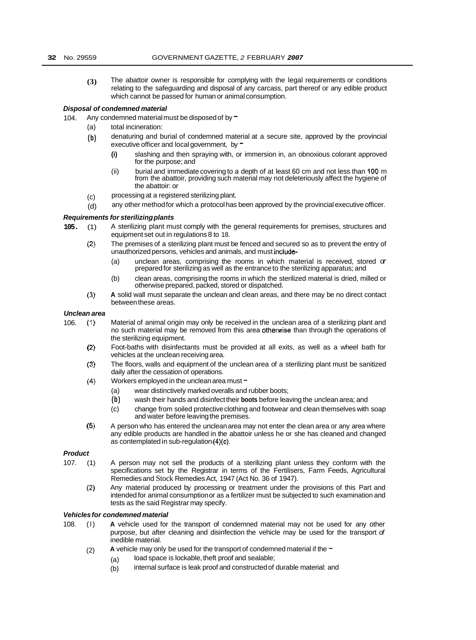**(3)** The abattoir owner is responsible for complying with the legal requirements or conditions relating to the safeguarding and disposal of any carcass, part thereof or any edible product which cannot be passed for human or animal consumption.

#### *Disposal of condemned material*

104. Any condemned material must be disposed of by  $=$ 

- (a) total incineration:
- **(b)** denaturing and burial of condemned material at a secure site, approved by the provincial executive officer and local government, by  $=$ 
	- **(i)** slashing and then spraying with, or immersion in, an obnoxious colorant approved for the purpose; and
	- (ii) burial and immediate covering to a depth of at least 60 cm and not less than **100** m from the abattoir, providing such material may not deleteriously affect the hygiene of the abattoir: or
- (c) processing at a registered sterilizing plant.
- (d) any other method for which a protocol has been approved by the provincial executive officer.

## **Requirements for sterilizing plants**

- **105.** (1) A sterilizing plant must comply with the general requirements for premises, structures and equipment set out in regulations 8 to 18.
	- (2) The premises of a sterilizing plant must be fenced and secured so as to prevent the entry of unauthorized persons, vehicles and animals, and must include-
		- (a) unclean areas, comprising the rooms in which material is received, stored *or*  prepared for sterilizing as well as the entrance to the sterilizing apparatus; and
		- (b) clean areas, comprising the rooms in which the sterilized material is dried, milled or otherwise prepared, packed, stored or dispatched.
	- **(3) A** solid wall must separate the unclean and clean areas, and there may be no direct contact between these areas.

#### *Unclean area*

- 106. (1) Material of animal origin may only be received in the unclean area of a sterilizing plant and no such material may be removed from this area otherwise than through the operations of the sterilizing equipment.
	- (2) Foot-baths with disinfectants must be provided at all exits, as well as a wheel bath for vehicles at the unclean receiving area.
	- **(3)**  The floors, walls and equipment of the unclean area of a sterilizing plant must be sanitized daily after the cessation of operations.
	- (4) Workers employed in the unclean area must  $-$ 
		- (a) wear distinctively marked overalls and rubber boots;
		- **(b)** wash their hands and disinfect their **boots** before leaving the unclean area; and
		- (c) change from soiled protective clothing and footwear and clean themselves with soap and water before leaving the premises.
	- **(5)**  A person who has entered the unclean area may not enter the clean area or any area where any edible products are handled in the abattoir unless he or she has cleaned and changed as contemplated in sub-regulation (4)(c).

#### *Product*

- 107. (1) A person may not sell the products of a sterilizing plant unless they conform with the specifications set by the Registrar in terms of the Fertilisers, Farm Feeds, Agricultural Remedies and Stock Remedies Act, 1947 (Act No. 36 of 1947).
	- (2) Any material produced by processing or treatment under the provisions of this Part and intended for animal consumption or as a fertilizer must be subjected to such examination and tests as the said Registrar may specify.

#### *Vehicles for condemned material*

- 108. (I) **A** vehicle used for the transport of condemned material may not be used for any other purpose, but after cleaning and disinfection the vehicle may be used for the transport *of*  inedible material.
	- A vehicle may only be used for the transport of condemned material if the  $-$ (2)
		- (a) load space is lockable, theft proof and sealable;
		- (b) internal surface is leak proof and constructed of durable material: and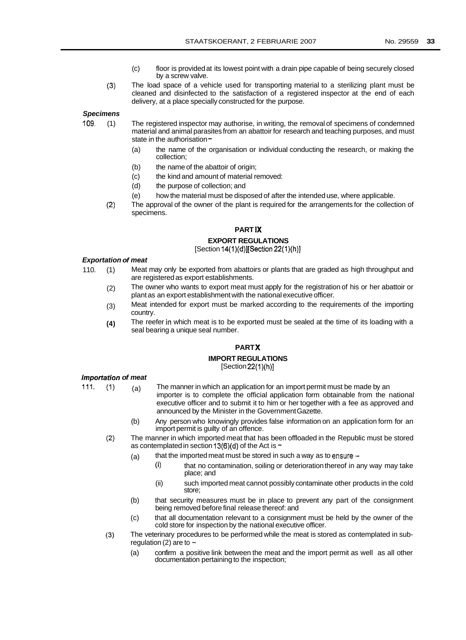- (c) floor is provided at its lowest point with a drain pipe capable of being securely closed by a screw valve.
- (3) The load space of a vehicle used for transporting material to a sterilizing plant must be cleaned and disinfected to the satisfaction of a registered inspector at the end of each delivery, at a place specially constructed for the purpose.

*Specimens* 

- 109. (1) The registered inspector may authorise, in writing, the removal of specimens of condemned material and animal parasites from an abattoir for research and teaching purposes, and must state in the authorisation -
	- (a) the name of the organisation or individual conducting the research, or making the collection;
	- (b) the name of the abattoir of origin;
	- (c) the kind and amount of material removed:
	- (d) the purpose of collection; and
	- (e) how the material must be disposed of after the intended use, where applicable.
	- (2) The approval of the owner of the plant is required for the arrangements for the collection of specimens.

#### **PART IX**

#### **EXPORT REGULATIONS**

 $[Section 14(1)(d)][Section 22(1)(h)]$ 

#### *Exportation of meat*

- 110. (1) Meat may only be exported from abattoirs or plants that are graded as high throughput and are registered as export establishments.
	- (2) The owner who wants to export meat must apply for the registration of his or her abattoir or plant as an export establishment with the national executive officer.
	- (3) Meat intended for export must be marked according to the requirements of the importing country.
	- **(4)**  The reefer in which meat is to be exported must be sealed at the time of its loading with a seal bearing a unique seal number.

#### **PART X**

#### **IMPORT REGULATIONS**   $[Section 22(1)(h)]$

#### *importation of meat*

111.  $(1)$ 

- (a) The manner in which an application for an import permit must be made by an importer is to complete the official application form obtainable from the national executive officer and to submit it to him or her together with a fee as approved and announced by the Minister in the Government Gazette.
- (b) Any person who knowingly provides false information on an application form for an import permit is guilty of an offence.
- $(2)$ The manner in which imported meat that has been offloaded in the Republic must be stored as contemplated in section 13(6)(d) of the Act is  $-$ 
	- (a) that the imported meat must be stored in such a way as to ensure  $\sim$ 
		- $(i)$  that no contamination, soiling or deterioration thereof in any way may take place; and
		- (ii) such imported meat cannot possibly contaminate other products in the cold store;
	- (b) that security measures must be in place to prevent any part of the consignment being removed before final release thereof: and
	- (c) that all documentation relevant to a consignment must be held by the owner of the cold store for inspection by the national executive officer.
- $(3)$ The veterinary procedures to be performed while the meat is stored as contemplated in subregulation (2) are to  $-$ 
	- (a) confirm a positive link between the meat and the import permit as well as all other documentation pertaining to the inspection;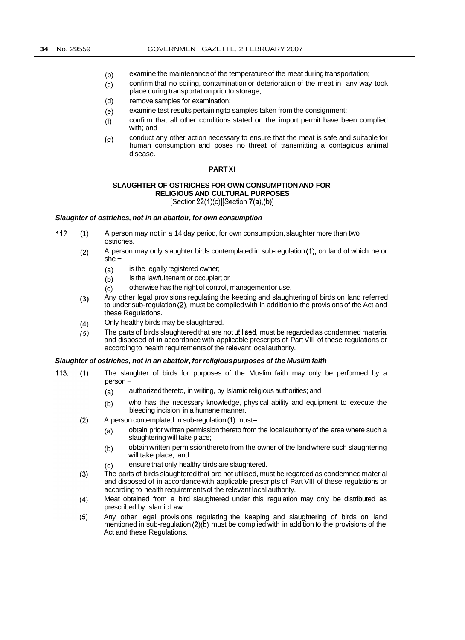- (b) examine the maintenance of the temperature of the meat during transportation;
- (c) confirm that no soiling, contamination or deterioration of the meat in any way took place during transportation prior to storage;
- (d) remove samples for examination;
- (e) examine test results pertaining to samples taken from the consignment;
- (f) confirm that all other conditions stated on the import permit have been complied with; and
- (9) conduct any other action necessary to ensure that the meat is safe and suitable for human consumption and poses no threat of transmitting a contagious animal disease.

#### **PART XI**

#### **SLAUGHTER OF OSTRICHES FOR OWN CONSUMPTION AND FOR RELIGIOUS AND CULTURAL PURPOSES**   $[Section 22(1)(c)][Section 7(a),(b)]$

#### *Slaughter of ostriches, not in an abattoir, for own consumption*

- 112. (1) A person may not in a 14 day period, for own consumption, slaughter more than two ostriches.
	- (2) A person may only slaughter birds contemplated in sub-regulation (1), on land of which he or she =
		- (a) is the legally registered owner;
		- (b) is the lawful tenant or occupier; or
		- (c) otherwise has the right of control, management or use.
	- Any other legal provisions regulating the keeping and slaughtering of birds on land referred to under sub-regulation (2), must be complied with in addition to the provisions of the Act and these Regulations. **(3)**
	- Only healthy birds may be slaughtered. (4)
	- The parts of birds slaughtered that are not utilised, must be regarded as condemned material and disposed of in accordance with applicable prescripts of Part Vlll of these regulations or according to health requirements of the relevant local authority. *(5)*

#### *Slaughter of ostriches, not in an abattoir, for religious purposes of the Muslim faith*

- 113.  $(1)$ The slaughter of birds for purposes of the Muslim faith may only be performed by a person -
	- (a) authorized thereto, in writing, by Islamic religious authorities; and
	- (b) who has the necessary knowledge, physical ability and equipment to execute the bleeding incision in a humane manner.
	- $(2)$ A person contemplated in sub-regulation (1) must-
		- (a) obtain prior written permission thereto from the local authority of the area where such a slaughtering will take place;
		- (b) obtain written permission thereto from the owner of the land where such slaughtering will take place; and
		- (c) ensure that only healthy birds are slaughtered.
	- The parts of birds slaughtered that are not utilised, must be regarded as condemned material  $(3)$ and disposed of in accordance with applicable prescripts of Part Vlll of these regulations or according to health requirements of the relevant local authority.
	- Meat obtained from a bird slaughtered under this regulation may only be distributed as  $(4)$ prescribed by Islamic Law.
	- $(5)$ Any other legal provisions regulating the keeping and slaughtering of birds on land mentioned in sub-regulation (2)(b) must be complied with in addition to the provisions of the Act and these Regulations.